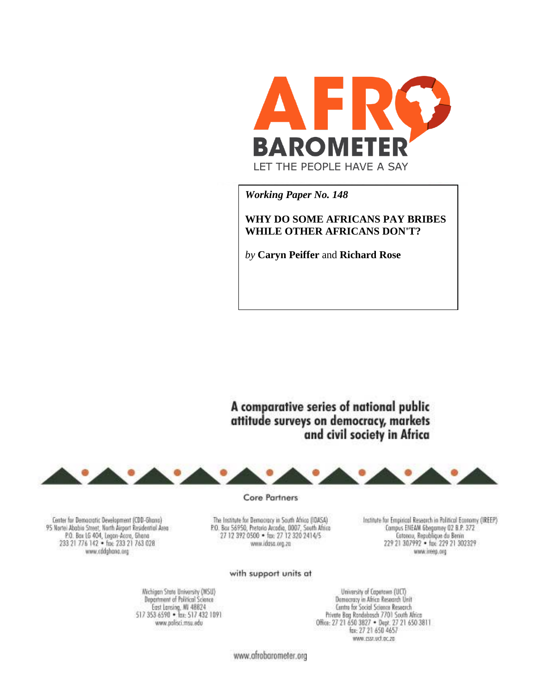

*Working Paper No. 148*

# **WHY DO SOME AFRICANS PAY BRIBES WHILE OTHER AFRICANS DON'T?**

*by* **Caryn Peiffer** and **Richard Rose**

A comparative series of national public attitude surveys on democracy, markets and civil society in Africa



Center for Democratic Development (CDD-Ghano) 95 Nortei Ababio Street, North Airport Residential Area<br>P.O. Bax LG 404, Legan-Accro, Ghana 233 21 776 142 · free 233 21 763 028 www.oddghana.org

Core Partners

The Institute for Democracy in South Africa (IDASA) P.O. Bar 56950, Pretorio Arcedio, 0007, South Africa<br>27 12 392 0500 . fax: 27 12 320 2414/5 www.idoso.org.zn

Institute for Empirical Research in Political Economy (IREEP) Compus ENEAM Gbegomey 02 B.P. 372 Cotonou, Republique du Benin 229 21 307992 · fax: 229 21 302329 www.ireep.org

#### with support units at

Nichigan State University (MSU) Department of Political Science East Lansing, MI 48824<br>517 353 6590 • Ian: 517 432 1091 www.polisci.msu.edu

University of Capetawn (UCT) Damocracy in Africa Research Unit Centre for Social Science Research Private Bog Rondebosch 7701 South Africa Office: 27 21 650 3827 . Dept. 27 21 650 3811<br>fgs: 27 21 650 4657 www.csst.ucf.oc.zo

www.afrobarometer.org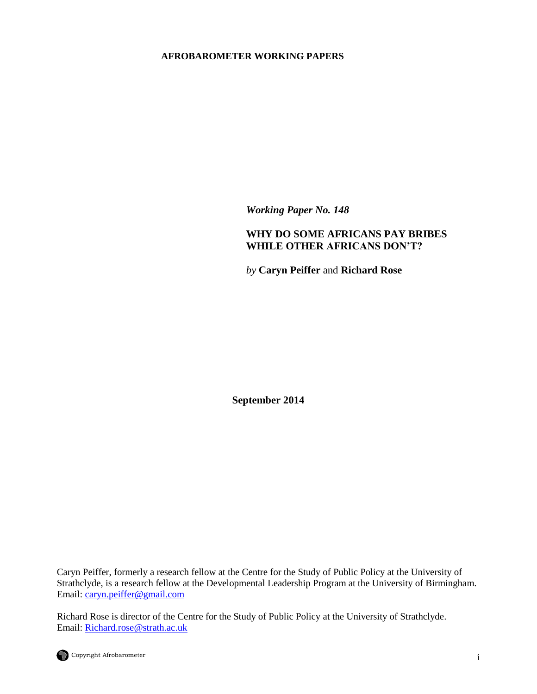# **AFROBAROMETER WORKING PAPERS**

*Working Paper No. 148*

# **WHY DO SOME AFRICANS PAY BRIBES WHILE OTHER AFRICANS DON'T?**

*by* **Caryn Peiffer** and **Richard Rose**

**September 2014**

Caryn Peiffer, formerly a research fellow at the Centre for the Study of Public Policy at the University of Strathclyde, is a research fellow at the Developmental Leadership Program at the University of Birmingham. Email: [caryn.peiffer@gmail.com](mailto:caryn.peiffer@gmail.com)

Richard Rose is director of the Centre for the Study of Public Policy at the University of Strathclyde. Email: [Richard.rose@strath.ac.uk](mailto:Richard.rose@strath.ac.uk)

Copyright Afrobarometer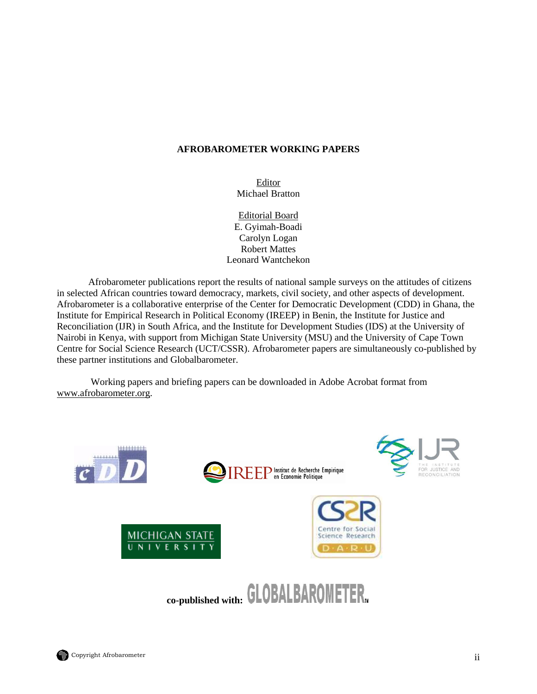# **AFROBAROMETER WORKING PAPERS**

Editor Michael Bratton

Editorial Board E. Gyimah-Boadi Carolyn Logan Robert Mattes Leonard Wantchekon

Afrobarometer publications report the results of national sample surveys on the attitudes of citizens in selected African countries toward democracy, markets, civil society, and other aspects of development. Afrobarometer is a collaborative enterprise of the Center for Democratic Development (CDD) in Ghana, the Institute for Empirical Research in Political Economy (IREEP) in Benin, the Institute for Justice and Reconciliation (IJR) in South Africa, and the Institute for Development Studies (IDS) at the University of Nairobi in Kenya, with support from Michigan State University (MSU) and the University of Cape Town Centre for Social Science Research (UCT/CSSR). Afrobarometer papers are simultaneously co-published by these partner institutions and Globalbarometer.

Working papers and briefing papers can be downloaded in Adobe Acrobat format from [www.afrobarometer.org.](http://www.afrobarometer.org/)

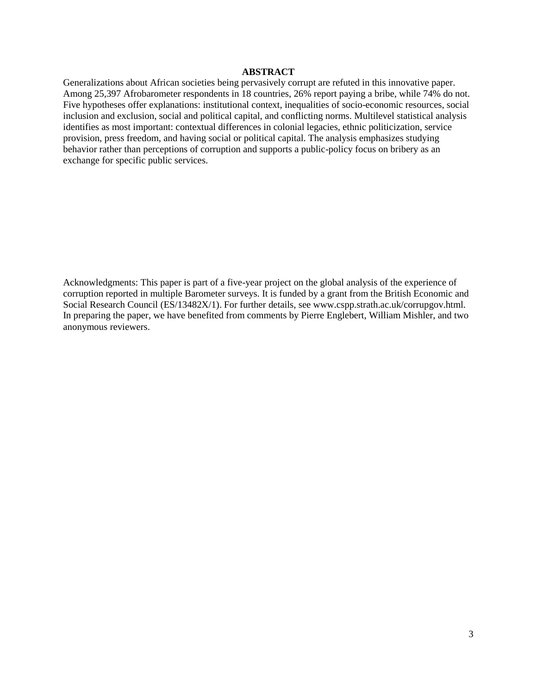## **ABSTRACT**

Generalizations about African societies being pervasively corrupt are refuted in this innovative paper. Among 25,397 Afrobarometer respondents in 18 countries, 26% report paying a bribe, while 74% do not. Five hypotheses offer explanations: institutional context, inequalities of socio-economic resources, social inclusion and exclusion, social and political capital, and conflicting norms. Multilevel statistical analysis identifies as most important: contextual differences in colonial legacies, ethnic politicization, service provision, press freedom, and having social or political capital. The analysis emphasizes studying behavior rather than perceptions of corruption and supports a public-policy focus on bribery as an exchange for specific public services.

Acknowledgments: This paper is part of a five-year project on the global analysis of the experience of corruption reported in multiple Barometer surveys. It is funded by a grant from the British Economic and Social Research Council (ES/13482X/1). For further details, see www.cspp.strath.ac.uk/corrupgov.html. In preparing the paper, we have benefited from comments by Pierre Englebert, William Mishler, and two anonymous reviewers.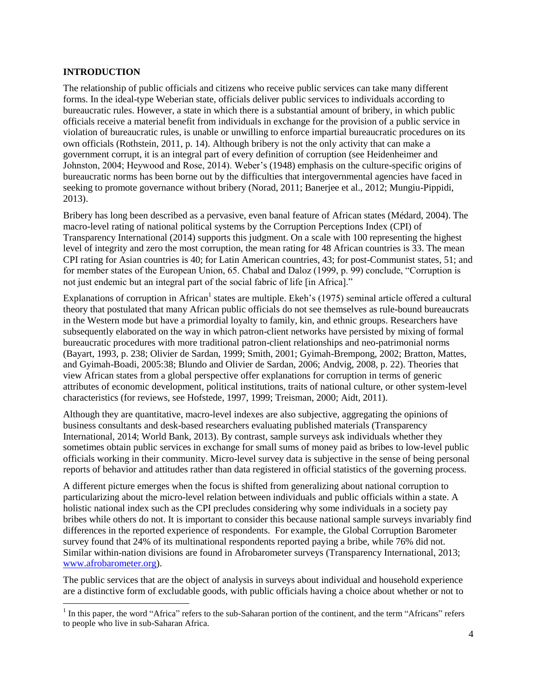# **INTRODUCTION**

 $\overline{\phantom{a}}$ 

The relationship of public officials and citizens who receive public services can take many different forms. In the ideal-type Weberian state, officials deliver public services to individuals according to bureaucratic rules. However, a state in which there is a substantial amount of bribery, in which public officials receive a material benefit from individuals in exchange for the provision of a public service in violation of bureaucratic rules, is unable or unwilling to enforce impartial bureaucratic procedures on its own officials (Rothstein, 2011, p. 14). Although bribery is not the only activity that can make a government corrupt, it is an integral part of every definition of corruption (see Heidenheimer and Johnston, 2004; Heywood and Rose, 2014). Weber"s (1948) emphasis on the culture-specific origins of bureaucratic norms has been borne out by the difficulties that intergovernmental agencies have faced in seeking to promote governance without bribery (Norad, 2011; Banerjee et al., 2012; Mungiu-Pippidi, 2013).

Bribery has long been described as a pervasive, even banal feature of African states (Médard, 2004). The macro-level rating of national political systems by the Corruption Perceptions Index (CPI) of Transparency International (2014) supports this judgment. On a scale with 100 representing the highest level of integrity and zero the most corruption, the mean rating for 48 African countries is 33. The mean CPI rating for Asian countries is 40; for Latin American countries, 43; for post-Communist states, 51; and for member states of the European Union, 65. Chabal and Daloz (1999, p. 99) conclude, "Corruption is not just endemic but an integral part of the social fabric of life [in Africa]."

Explanations of corruption in African<sup>1</sup> states are multiple. Ekeh's (1975) seminal article offered a cultural theory that postulated that many African public officials do not see themselves as rule-bound bureaucrats in the Western mode but have a primordial loyalty to family, kin, and ethnic groups. Researchers have subsequently elaborated on the way in which patron-client networks have persisted by mixing of formal bureaucratic procedures with more traditional patron-client relationships and neo-patrimonial norms (Bayart, 1993, p. 238; Olivier de Sardan, 1999; Smith, 2001; Gyimah-Brempong, 2002; Bratton, Mattes, and Gyimah-Boadi, 2005:38; Blundo and Olivier de Sardan, 2006; Andvig, 2008, p. 22). Theories that view African states from a global perspective offer explanations for corruption in terms of generic attributes of economic development, political institutions, traits of national culture, or other system-level characteristics (for reviews, see Hofstede, 1997, 1999; Treisman, 2000; Aidt, 2011).

Although they are quantitative, macro-level indexes are also subjective, aggregating the opinions of business consultants and desk-based researchers evaluating published materials (Transparency International, 2014; World Bank, 2013). By contrast, sample surveys ask individuals whether they sometimes obtain public services in exchange for small sums of money paid as bribes to low-level public officials working in their community. Micro-level survey data is subjective in the sense of being personal reports of behavior and attitudes rather than data registered in official statistics of the governing process.

A different picture emerges when the focus is shifted from generalizing about national corruption to particularizing about the micro-level relation between individuals and public officials within a state. A holistic national index such as the CPI precludes considering why some individuals in a society pay bribes while others do not. It is important to consider this because national sample surveys invariably find differences in the reported experience of respondents. For example, the Global Corruption Barometer survey found that 24% of its multinational respondents reported paying a bribe, while 76% did not. Similar within-nation divisions are found in Afrobarometer surveys (Transparency International, 2013; [www.afrobarometer.org\)](http://www.afrobarometer.org/).

The public services that are the object of analysis in surveys about individual and household experience are a distinctive form of excludable goods, with public officials having a choice about whether or not to

 $<sup>1</sup>$  In this paper, the word "Africa" refers to the sub-Saharan portion of the continent, and the term "Africans" refers</sup> to people who live in sub-Saharan Africa.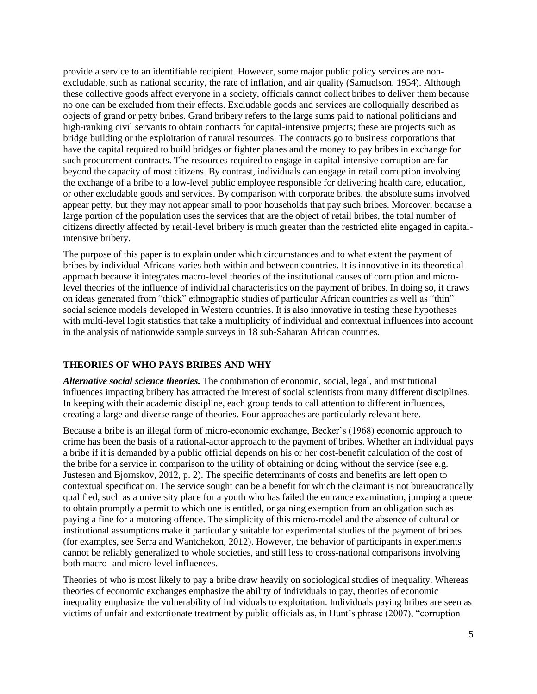provide a service to an identifiable recipient. However, some major public policy services are nonexcludable, such as national security, the rate of inflation, and air quality (Samuelson, 1954). Although these collective goods affect everyone in a society, officials cannot collect bribes to deliver them because no one can be excluded from their effects. Excludable goods and services are colloquially described as objects of grand or petty bribes. Grand bribery refers to the large sums paid to national politicians and high-ranking civil servants to obtain contracts for capital-intensive projects; these are projects such as bridge building or the exploitation of natural resources. The contracts go to business corporations that have the capital required to build bridges or fighter planes and the money to pay bribes in exchange for such procurement contracts. The resources required to engage in capital-intensive corruption are far beyond the capacity of most citizens. By contrast, individuals can engage in retail corruption involving the exchange of a bribe to a low-level public employee responsible for delivering health care, education, or other excludable goods and services. By comparison with corporate bribes, the absolute sums involved appear petty, but they may not appear small to poor households that pay such bribes. Moreover, because a large portion of the population uses the services that are the object of retail bribes, the total number of citizens directly affected by retail-level bribery is much greater than the restricted elite engaged in capitalintensive bribery.

The purpose of this paper is to explain under which circumstances and to what extent the payment of bribes by individual Africans varies both within and between countries. It is innovative in its theoretical approach because it integrates macro-level theories of the institutional causes of corruption and microlevel theories of the influence of individual characteristics on the payment of bribes. In doing so, it draws on ideas generated from "thick" ethnographic studies of particular African countries as well as "thin" social science models developed in Western countries. It is also innovative in testing these hypotheses with multi-level logit statistics that take a multiplicity of individual and contextual influences into account in the analysis of nationwide sample surveys in 18 sub-Saharan African countries.

## **THEORIES OF WHO PAYS BRIBES AND WHY**

*Alternative social science theories.* The combination of economic, social, legal, and institutional influences impacting bribery has attracted the interest of social scientists from many different disciplines. In keeping with their academic discipline, each group tends to call attention to different influences, creating a large and diverse range of theories. Four approaches are particularly relevant here.

Because a bribe is an illegal form of micro-economic exchange, Becker"s (1968) economic approach to crime has been the basis of a rational-actor approach to the payment of bribes. Whether an individual pays a bribe if it is demanded by a public official depends on his or her cost-benefit calculation of the cost of the bribe for a service in comparison to the utility of obtaining or doing without the service (see e.g. Justesen and Bjornskov, 2012, p. 2). The specific determinants of costs and benefits are left open to contextual specification. The service sought can be a benefit for which the claimant is not bureaucratically qualified, such as a university place for a youth who has failed the entrance examination, jumping a queue to obtain promptly a permit to which one is entitled, or gaining exemption from an obligation such as paying a fine for a motoring offence. The simplicity of this micro-model and the absence of cultural or institutional assumptions make it particularly suitable for experimental studies of the payment of bribes (for examples, see Serra and Wantchekon, 2012). However, the behavior of participants in experiments cannot be reliably generalized to whole societies, and still less to cross-national comparisons involving both macro- and micro-level influences.

Theories of who is most likely to pay a bribe draw heavily on sociological studies of inequality. Whereas theories of economic exchanges emphasize the ability of individuals to pay, theories of economic inequality emphasize the vulnerability of individuals to exploitation. Individuals paying bribes are seen as victims of unfair and extortionate treatment by public officials as, in Hunt"s phrase (2007), "corruption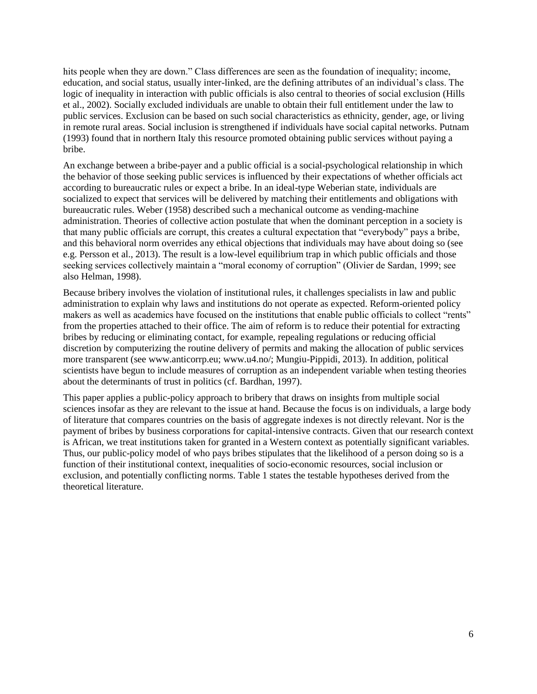hits people when they are down." Class differences are seen as the foundation of inequality; income, education, and social status, usually inter-linked, are the defining attributes of an individual"s class. The logic of inequality in interaction with public officials is also central to theories of social exclusion (Hills et al., 2002). Socially excluded individuals are unable to obtain their full entitlement under the law to public services. Exclusion can be based on such social characteristics as ethnicity, gender, age, or living in remote rural areas. Social inclusion is strengthened if individuals have social capital networks. Putnam (1993) found that in northern Italy this resource promoted obtaining public services without paying a bribe.

An exchange between a bribe-payer and a public official is a social-psychological relationship in which the behavior of those seeking public services is influenced by their expectations of whether officials act according to bureaucratic rules or expect a bribe. In an ideal-type Weberian state, individuals are socialized to expect that services will be delivered by matching their entitlements and obligations with bureaucratic rules. Weber (1958) described such a mechanical outcome as vending-machine administration. Theories of collective action postulate that when the dominant perception in a society is that many public officials are corrupt, this creates a cultural expectation that "everybody" pays a bribe, and this behavioral norm overrides any ethical objections that individuals may have about doing so (see e.g. Persson et al., 2013). The result is a low-level equilibrium trap in which public officials and those seeking services collectively maintain a "moral economy of corruption" (Olivier de Sardan, 1999; see also Helman, 1998).

Because bribery involves the violation of institutional rules, it challenges specialists in law and public administration to explain why laws and institutions do not operate as expected. Reform-oriented policy makers as well as academics have focused on the institutions that enable public officials to collect "rents" from the properties attached to their office. The aim of reform is to reduce their potential for extracting bribes by reducing or eliminating contact, for example, repealing regulations or reducing official discretion by computerizing the routine delivery of permits and making the allocation of public services more transparent (see www.anticorrp.eu; www.u4.no/; Mungiu-Pippidi, 2013). In addition, political scientists have begun to include measures of corruption as an independent variable when testing theories about the determinants of trust in politics (cf. Bardhan, 1997).

This paper applies a public-policy approach to bribery that draws on insights from multiple social sciences insofar as they are relevant to the issue at hand. Because the focus is on individuals, a large body of literature that compares countries on the basis of aggregate indexes is not directly relevant. Nor is the payment of bribes by business corporations for capital-intensive contracts. Given that our research context is African, we treat institutions taken for granted in a Western context as potentially significant variables. Thus, our public-policy model of who pays bribes stipulates that the likelihood of a person doing so is a function of their institutional context, inequalities of socio-economic resources, social inclusion or exclusion, and potentially conflicting norms. Table 1 states the testable hypotheses derived from the theoretical literature.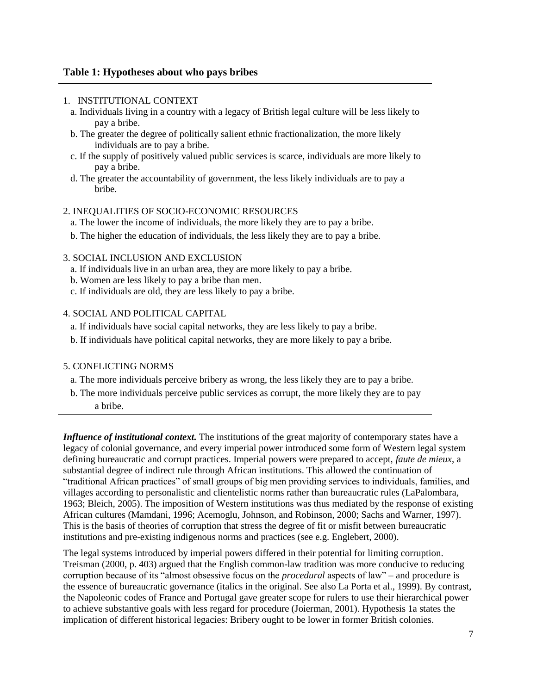## 1. INSTITUTIONAL CONTEXT

- a. Individuals living in a country with a legacy of British legal culture will be less likely to pay a bribe.
- b. The greater the degree of politically salient ethnic fractionalization, the more likely individuals are to pay a bribe.
- c. If the supply of positively valued public services is scarce, individuals are more likely to pay a bribe.
- d. The greater the accountability of government, the less likely individuals are to pay a bribe.

#### 2. INEQUALITIES OF SOCIO-ECONOMIC RESOURCES

- a. The lower the income of individuals, the more likely they are to pay a bribe.
- b. The higher the education of individuals, the less likely they are to pay a bribe.
- 3. SOCIAL INCLUSION AND EXCLUSION
	- a. If individuals live in an urban area, they are more likely to pay a bribe.
	- b. Women are less likely to pay a bribe than men.
	- c. If individuals are old, they are less likely to pay a bribe.
- 4. SOCIAL AND POLITICAL CAPITAL
	- a. If individuals have social capital networks, they are less likely to pay a bribe.
	- b. If individuals have political capital networks, they are more likely to pay a bribe.

# 5. CONFLICTING NORMS

- a. The more individuals perceive bribery as wrong, the less likely they are to pay a bribe.
- b. The more individuals perceive public services as corrupt, the more likely they are to pay a bribe.

*Influence of institutional context*. The institutions of the great majority of contemporary states have a legacy of colonial governance, and every imperial power introduced some form of Western legal system defining bureaucratic and corrupt practices. Imperial powers were prepared to accept, *faute de mieux*, a substantial degree of indirect rule through African institutions. This allowed the continuation of "traditional African practices" of small groups of big men providing services to individuals, families, and villages according to personalistic and clientelistic norms rather than bureaucratic rules (LaPalombara, 1963; Bleich, 2005). The imposition of Western institutions was thus mediated by the response of existing African cultures (Mamdani, 1996; Acemoglu, Johnson, and Robinson, 2000; Sachs and Warner, 1997). This is the basis of theories of corruption that stress the degree of fit or misfit between bureaucratic institutions and pre-existing indigenous norms and practices (see e.g. Englebert, 2000).

The legal systems introduced by imperial powers differed in their potential for limiting corruption. Treisman (2000, p. 403) argued that the English common-law tradition was more conducive to reducing corruption because of its "almost obsessive focus on the *procedural* aspects of law" – and procedure is the essence of bureaucratic governance (italics in the original. See also La Porta et al., 1999). By contrast, the Napoleonic codes of France and Portugal gave greater scope for rulers to use their hierarchical power to achieve substantive goals with less regard for procedure (Joierman, 2001). Hypothesis 1a states the implication of different historical legacies: Bribery ought to be lower in former British colonies.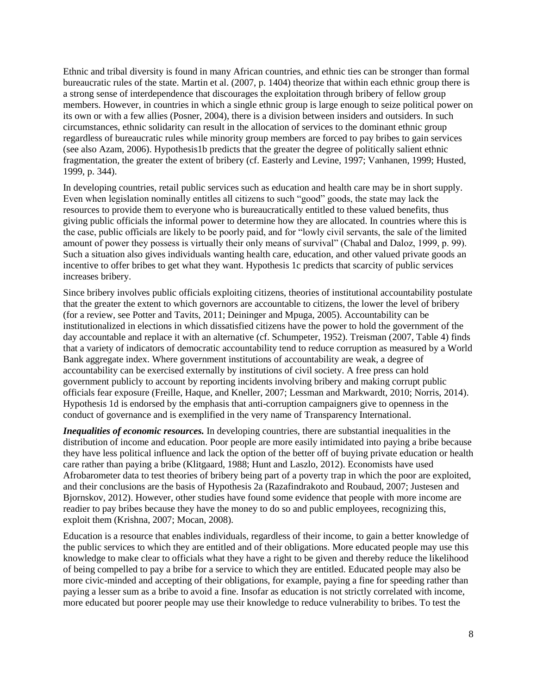Ethnic and tribal diversity is found in many African countries, and ethnic ties can be stronger than formal bureaucratic rules of the state. Martin et al. (2007, p. 1404) theorize that within each ethnic group there is a strong sense of interdependence that discourages the exploitation through bribery of fellow group members. However, in countries in which a single ethnic group is large enough to seize political power on its own or with a few allies (Posner, 2004), there is a division between insiders and outsiders. In such circumstances, ethnic solidarity can result in the allocation of services to the dominant ethnic group regardless of bureaucratic rules while minority group members are forced to pay bribes to gain services (see also Azam, 2006). Hypothesis1b predicts that the greater the degree of politically salient ethnic fragmentation, the greater the extent of bribery (cf. Easterly and Levine, 1997; Vanhanen, 1999; Husted, 1999, p. 344).

In developing countries, retail public services such as education and health care may be in short supply. Even when legislation nominally entitles all citizens to such "good" goods, the state may lack the resources to provide them to everyone who is bureaucratically entitled to these valued benefits, thus giving public officials the informal power to determine how they are allocated. In countries where this is the case, public officials are likely to be poorly paid, and for "lowly civil servants, the sale of the limited amount of power they possess is virtually their only means of survival" (Chabal and Daloz, 1999, p. 99). Such a situation also gives individuals wanting health care, education, and other valued private goods an incentive to offer bribes to get what they want. Hypothesis 1c predicts that scarcity of public services increases bribery.

Since bribery involves public officials exploiting citizens, theories of institutional accountability postulate that the greater the extent to which governors are accountable to citizens, the lower the level of bribery (for a review, see Potter and Tavits, 2011; Deininger and Mpuga, 2005). Accountability can be institutionalized in elections in which dissatisfied citizens have the power to hold the government of the day accountable and replace it with an alternative (cf. Schumpeter, 1952). Treisman (2007, Table 4) finds that a variety of indicators of democratic accountability tend to reduce corruption as measured by a World Bank aggregate index. Where government institutions of accountability are weak, a degree of accountability can be exercised externally by institutions of civil society. A free press can hold government publicly to account by reporting incidents involving bribery and making corrupt public officials fear exposure (Freille, Haque, and Kneller, 2007; Lessman and Markwardt, 2010; Norris, 2014). Hypothesis 1d is endorsed by the emphasis that anti-corruption campaigners give to openness in the conduct of governance and is exemplified in the very name of Transparency International.

*Inequalities of economic resources.* In developing countries, there are substantial inequalities in the distribution of income and education. Poor people are more easily intimidated into paying a bribe because they have less political influence and lack the option of the better off of buying private education or health care rather than paying a bribe (Klitgaard, 1988; Hunt and Laszlo, 2012). Economists have used Afrobarometer data to test theories of bribery being part of a poverty trap in which the poor are exploited, and their conclusions are the basis of Hypothesis 2a (Razafindrakoto and Roubaud, 2007; Justesen and Bjornskov, 2012). However, other studies have found some evidence that people with more income are readier to pay bribes because they have the money to do so and public employees, recognizing this, exploit them (Krishna, 2007; Mocan, 2008).

Education is a resource that enables individuals, regardless of their income, to gain a better knowledge of the public services to which they are entitled and of their obligations. More educated people may use this knowledge to make clear to officials what they have a right to be given and thereby reduce the likelihood of being compelled to pay a bribe for a service to which they are entitled. Educated people may also be more civic-minded and accepting of their obligations, for example, paying a fine for speeding rather than paying a lesser sum as a bribe to avoid a fine. Insofar as education is not strictly correlated with income, more educated but poorer people may use their knowledge to reduce vulnerability to bribes. To test the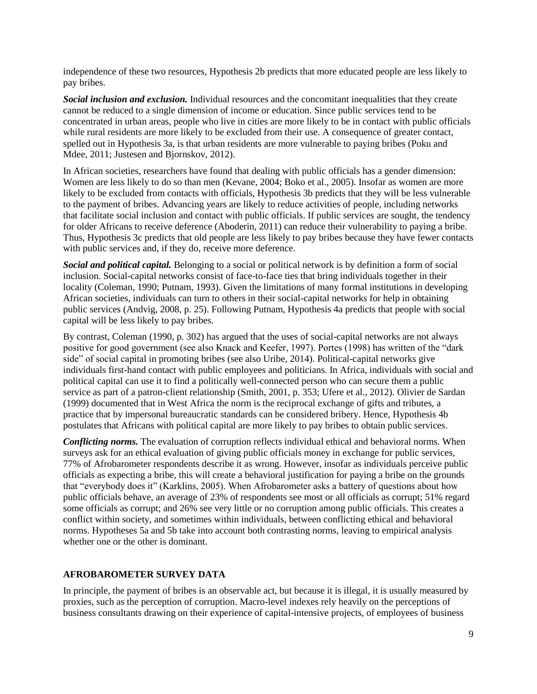independence of these two resources, Hypothesis 2b predicts that more educated people are less likely to pay bribes.

*Social inclusion and exclusion.* Individual resources and the concomitant inequalities that they create cannot be reduced to a single dimension of income or education. Since public services tend to be concentrated in urban areas, people who live in cities are more likely to be in contact with public officials while rural residents are more likely to be excluded from their use. A consequence of greater contact, spelled out in Hypothesis 3a, is that urban residents are more vulnerable to paying bribes (Poku and Mdee, 2011; Justesen and Bjornskov, 2012).

In African societies, researchers have found that dealing with public officials has a gender dimension: Women are less likely to do so than men (Kevane, 2004; Boko et al., 2005). Insofar as women are more likely to be excluded from contacts with officials, Hypothesis 3b predicts that they will be less vulnerable to the payment of bribes. Advancing years are likely to reduce activities of people, including networks that facilitate social inclusion and contact with public officials. If public services are sought, the tendency for older Africans to receive deference (Aboderin, 2011) can reduce their vulnerability to paying a bribe. Thus, Hypothesis 3c predicts that old people are less likely to pay bribes because they have fewer contacts with public services and, if they do, receive more deference.

*Social and political capital.* Belonging to a social or political network is by definition a form of social inclusion. Social-capital networks consist of face-to-face ties that bring individuals together in their locality (Coleman, 1990; Putnam, 1993). Given the limitations of many formal institutions in developing African societies, individuals can turn to others in their social-capital networks for help in obtaining public services (Andvig, 2008, p. 25). Following Putnam, Hypothesis 4a predicts that people with social capital will be less likely to pay bribes.

By contrast, Coleman (1990, p. 302) has argued that the uses of social-capital networks are not always positive for good government (see also Knack and Keefer, 1997). Portes (1998) has written of the "dark side" of social capital in promoting bribes (see also Uribe, 2014). Political-capital networks give individuals first-hand contact with public employees and politicians. In Africa, individuals with social and political capital can use it to find a politically well-connected person who can secure them a public service as part of a patron-client relationship (Smith, 2001, p. 353; Ufere et al., 2012). Olivier de Sardan (1999) documented that in West Africa the norm is the reciprocal exchange of gifts and tributes, a practice that by impersonal bureaucratic standards can be considered bribery. Hence, Hypothesis 4b postulates that Africans with political capital are more likely to pay bribes to obtain public services.

*Conflicting norms.* The evaluation of corruption reflects individual ethical and behavioral norms. When surveys ask for an ethical evaluation of giving public officials money in exchange for public services, 77% of Afrobarometer respondents describe it as wrong. However, insofar as individuals perceive public officials as expecting a bribe, this will create a behavioral justification for paying a bribe on the grounds that "everybody does it" (Karklins, 2005). When Afrobarometer asks a battery of questions about how public officials behave, an average of 23% of respondents see most or all officials as corrupt; 51% regard some officials as corrupt; and 26% see very little or no corruption among public officials. This creates a conflict within society, and sometimes within individuals, between conflicting ethical and behavioral norms. Hypotheses 5a and 5b take into account both contrasting norms, leaving to empirical analysis whether one or the other is dominant.

## **AFROBAROMETER SURVEY DATA**

In principle, the payment of bribes is an observable act, but because it is illegal, it is usually measured by proxies, such as the perception of corruption. Macro-level indexes rely heavily on the perceptions of business consultants drawing on their experience of capital-intensive projects, of employees of business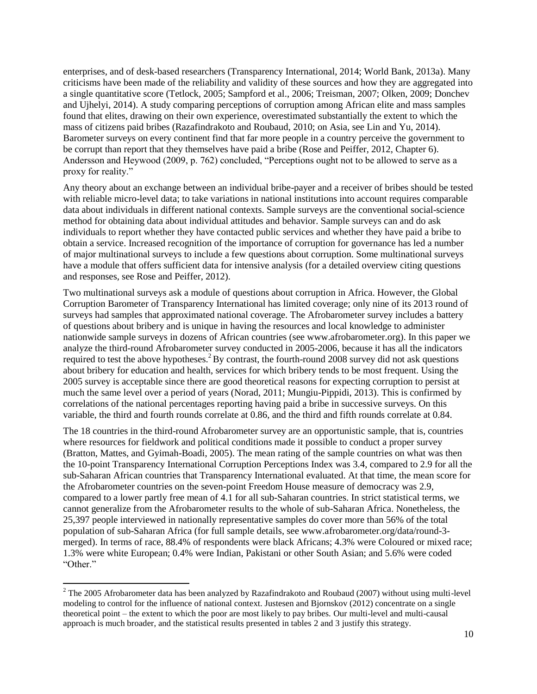enterprises, and of desk-based researchers (Transparency International, 2014; World Bank, 2013a). Many criticisms have been made of the reliability and validity of these sources and how they are aggregated into a single quantitative score (Tetlock, 2005; Sampford et al., 2006; Treisman, 2007; Olken, 2009; Donchev and Ujhelyi, 2014). A study comparing perceptions of corruption among African elite and mass samples found that elites, drawing on their own experience, overestimated substantially the extent to which the mass of citizens paid bribes (Razafindrakoto and Roubaud, 2010; on Asia, see Lin and Yu, 2014). Barometer surveys on every continent find that far more people in a country perceive the government to be corrupt than report that they themselves have paid a bribe (Rose and Peiffer, 2012, Chapter 6). Andersson and Heywood (2009, p. 762) concluded, "Perceptions ought not to be allowed to serve as a proxy for reality."

Any theory about an exchange between an individual bribe-payer and a receiver of bribes should be tested with reliable micro-level data; to take variations in national institutions into account requires comparable data about individuals in different national contexts. Sample surveys are the conventional social-science method for obtaining data about individual attitudes and behavior. Sample surveys can and do ask individuals to report whether they have contacted public services and whether they have paid a bribe to obtain a service. Increased recognition of the importance of corruption for governance has led a number of major multinational surveys to include a few questions about corruption. Some multinational surveys have a module that offers sufficient data for intensive analysis (for a detailed overview citing questions and responses, see Rose and Peiffer, 2012).

Two multinational surveys ask a module of questions about corruption in Africa. However, the Global Corruption Barometer of Transparency International has limited coverage; only nine of its 2013 round of surveys had samples that approximated national coverage. The Afrobarometer survey includes a battery of questions about bribery and is unique in having the resources and local knowledge to administer nationwide sample surveys in dozens of African countries (see www.afrobarometer.org). In this paper we analyze the third-round Afrobarometer survey conducted in 2005-2006, because it has all the indicators required to test the above hypotheses.<sup>2</sup> By contrast, the fourth-round 2008 survey did not ask questions about bribery for education and health, services for which bribery tends to be most frequent. Using the 2005 survey is acceptable since there are good theoretical reasons for expecting corruption to persist at much the same level over a period of years (Norad, 2011; Mungiu-Pippidi, 2013). This is confirmed by correlations of the national percentages reporting having paid a bribe in successive surveys. On this variable, the third and fourth rounds correlate at 0.86, and the third and fifth rounds correlate at 0.84.

The 18 countries in the third-round Afrobarometer survey are an opportunistic sample, that is, countries where resources for fieldwork and political conditions made it possible to conduct a proper survey (Bratton, Mattes, and Gyimah-Boadi, 2005). The mean rating of the sample countries on what was then the 10-point Transparency International Corruption Perceptions Index was 3.4, compared to 2.9 for all the sub-Saharan African countries that Transparency International evaluated. At that time, the mean score for the Afrobarometer countries on the seven-point Freedom House measure of democracy was 2.9, compared to a lower partly free mean of 4.1 for all sub-Saharan countries. In strict statistical terms, we cannot generalize from the Afrobarometer results to the whole of sub-Saharan Africa. Nonetheless, the 25,397 people interviewed in nationally representative samples do cover more than 56% of the total population of sub-Saharan Africa (for full sample details, see www.afrobarometer.org/data/round-3 merged). In terms of race, 88.4% of respondents were black Africans; 4.3% were Coloured or mixed race; 1.3% were white European; 0.4% were Indian, Pakistani or other South Asian; and 5.6% were coded "Other."

l

 $2$  The 2005 Afrobarometer data has been analyzed by Razafindrakoto and Roubaud (2007) without using multi-level modeling to control for the influence of national context. Justesen and Bjornskov (2012) concentrate on a single theoretical point – the extent to which the poor are most likely to pay bribes. Our multi-level and multi-causal approach is much broader, and the statistical results presented in tables 2 and 3 justify this strategy.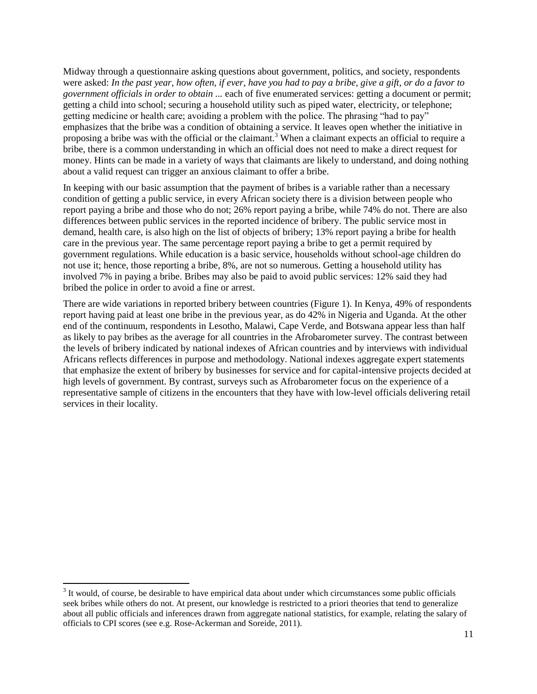Midway through a questionnaire asking questions about government, politics, and society, respondents were asked: *In the past year, how often, if ever, have you had to pay a bribe, give a gift, or do a favor to government officials in order to obtain ...* each of five enumerated services: getting a document or permit; getting a child into school; securing a household utility such as piped water, electricity, or telephone; getting medicine or health care; avoiding a problem with the police. The phrasing "had to pay" emphasizes that the bribe was a condition of obtaining a service. It leaves open whether the initiative in proposing a bribe was with the official or the claimant.<sup>3</sup> When a claimant expects an official to require a bribe, there is a common understanding in which an official does not need to make a direct request for money. Hints can be made in a variety of ways that claimants are likely to understand, and doing nothing about a valid request can trigger an anxious claimant to offer a bribe.

In keeping with our basic assumption that the payment of bribes is a variable rather than a necessary condition of getting a public service, in every African society there is a division between people who report paying a bribe and those who do not; 26% report paying a bribe, while 74% do not. There are also differences between public services in the reported incidence of bribery. The public service most in demand, health care, is also high on the list of objects of bribery; 13% report paying a bribe for health care in the previous year. The same percentage report paying a bribe to get a permit required by government regulations. While education is a basic service, households without school-age children do not use it; hence, those reporting a bribe, 8%, are not so numerous. Getting a household utility has involved 7% in paying a bribe. Bribes may also be paid to avoid public services: 12% said they had bribed the police in order to avoid a fine or arrest.

There are wide variations in reported bribery between countries (Figure 1). In Kenya, 49% of respondents report having paid at least one bribe in the previous year, as do 42% in Nigeria and Uganda. At the other end of the continuum, respondents in Lesotho, Malawi, Cape Verde, and Botswana appear less than half as likely to pay bribes as the average for all countries in the Afrobarometer survey. The contrast between the levels of bribery indicated by national indexes of African countries and by interviews with individual Africans reflects differences in purpose and methodology. National indexes aggregate expert statements that emphasize the extent of bribery by businesses for service and for capital-intensive projects decided at high levels of government. By contrast, surveys such as Afrobarometer focus on the experience of a representative sample of citizens in the encounters that they have with low-level officials delivering retail services in their locality.

l

 $3$  It would, of course, be desirable to have empirical data about under which circumstances some public officials seek bribes while others do not. At present, our knowledge is restricted to a priori theories that tend to generalize about all public officials and inferences drawn from aggregate national statistics, for example, relating the salary of officials to CPI scores (see e.g. Rose-Ackerman and Soreide, 2011).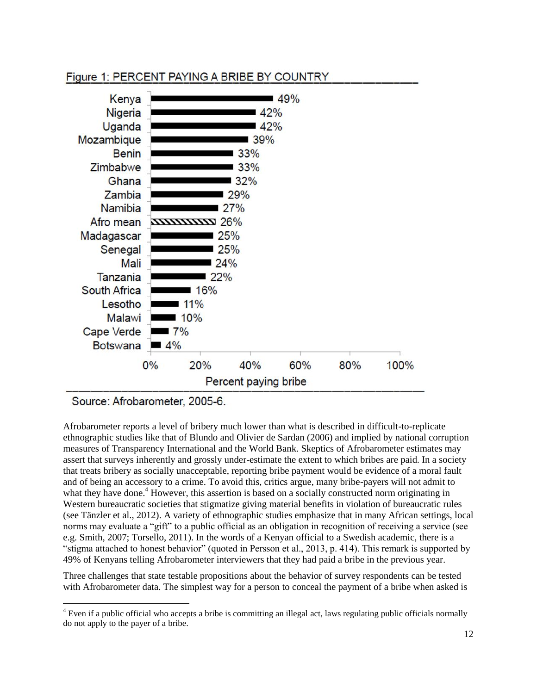# Figure 1: PERCENT PAYING A BRIBE BY COUNTRY



Source: Afrobarometer, 2005-6.

 $\overline{\phantom{a}}$ 

Afrobarometer reports a level of bribery much lower than what is described in difficult-to-replicate ethnographic studies like that of Blundo and Olivier de Sardan (2006) and implied by national corruption measures of Transparency International and the World Bank. Skeptics of Afrobarometer estimates may assert that surveys inherently and grossly under-estimate the extent to which bribes are paid. In a society that treats bribery as socially unacceptable, reporting bribe payment would be evidence of a moral fault and of being an accessory to a crime. To avoid this, critics argue, many bribe-payers will not admit to what they have done.<sup>4</sup> However, this assertion is based on a socially constructed norm originating in Western bureaucratic societies that stigmatize giving material benefits in violation of bureaucratic rules (see Tänzler et al., 2012). A variety of ethnographic studies emphasize that in many African settings, local norms may evaluate a "gift" to a public official as an obligation in recognition of receiving a service (see e.g. Smith, 2007; Torsello, 2011). In the words of a Kenyan official to a Swedish academic, there is a "stigma attached to honest behavior" (quoted in Persson et al., 2013, p. 414). This remark is supported by 49% of Kenyans telling Afrobarometer interviewers that they had paid a bribe in the previous year.

Three challenges that state testable propositions about the behavior of survey respondents can be tested with Afrobarometer data. The simplest way for a person to conceal the payment of a bribe when asked is

 $4$  Even if a public official who accepts a bribe is committing an illegal act, laws regulating public officials normally do not apply to the payer of a bribe.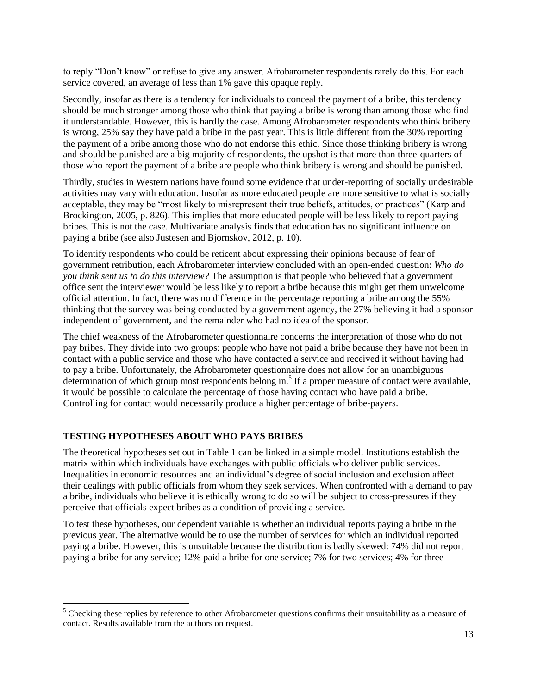to reply "Don"t know" or refuse to give any answer. Afrobarometer respondents rarely do this. For each service covered, an average of less than 1% gave this opaque reply.

Secondly, insofar as there is a tendency for individuals to conceal the payment of a bribe, this tendency should be much stronger among those who think that paying a bribe is wrong than among those who find it understandable. However, this is hardly the case. Among Afrobarometer respondents who think bribery is wrong, 25% say they have paid a bribe in the past year. This is little different from the 30% reporting the payment of a bribe among those who do not endorse this ethic. Since those thinking bribery is wrong and should be punished are a big majority of respondents, the upshot is that more than three-quarters of those who report the payment of a bribe are people who think bribery is wrong and should be punished.

Thirdly, studies in Western nations have found some evidence that under-reporting of socially undesirable activities may vary with education. Insofar as more educated people are more sensitive to what is socially acceptable, they may be "most likely to misrepresent their true beliefs, attitudes, or practices" (Karp and Brockington, 2005, p. 826). This implies that more educated people will be less likely to report paying bribes. This is not the case. Multivariate analysis finds that education has no significant influence on paying a bribe (see also Justesen and Bjornskov, 2012, p. 10).

To identify respondents who could be reticent about expressing their opinions because of fear of government retribution, each Afrobarometer interview concluded with an open-ended question: *Who do you think sent us to do this interview?* The assumption is that people who believed that a government office sent the interviewer would be less likely to report a bribe because this might get them unwelcome official attention. In fact, there was no difference in the percentage reporting a bribe among the 55% thinking that the survey was being conducted by a government agency, the 27% believing it had a sponsor independent of government, and the remainder who had no idea of the sponsor.

The chief weakness of the Afrobarometer questionnaire concerns the interpretation of those who do not pay bribes. They divide into two groups: people who have not paid a bribe because they have not been in contact with a public service and those who have contacted a service and received it without having had to pay a bribe. Unfortunately, the Afrobarometer questionnaire does not allow for an unambiguous determination of which group most respondents belong in.<sup>5</sup> If a proper measure of contact were available, it would be possible to calculate the percentage of those having contact who have paid a bribe. Controlling for contact would necessarily produce a higher percentage of bribe-payers.

## **TESTING HYPOTHESES ABOUT WHO PAYS BRIBES**

 $\overline{\phantom{a}}$ 

The theoretical hypotheses set out in Table 1 can be linked in a simple model. Institutions establish the matrix within which individuals have exchanges with public officials who deliver public services. Inequalities in economic resources and an individual"s degree of social inclusion and exclusion affect their dealings with public officials from whom they seek services. When confronted with a demand to pay a bribe, individuals who believe it is ethically wrong to do so will be subject to cross-pressures if they perceive that officials expect bribes as a condition of providing a service.

To test these hypotheses, our dependent variable is whether an individual reports paying a bribe in the previous year. The alternative would be to use the number of services for which an individual reported paying a bribe. However, this is unsuitable because the distribution is badly skewed: 74% did not report paying a bribe for any service; 12% paid a bribe for one service; 7% for two services; 4% for three

<sup>&</sup>lt;sup>5</sup> Checking these replies by reference to other Afrobarometer questions confirms their unsuitability as a measure of contact. Results available from the authors on request.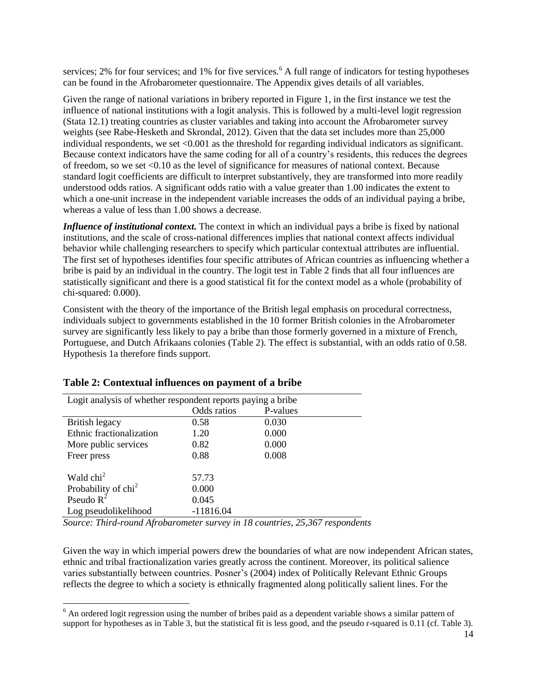services; 2% for four services; and 1% for five services.<sup>6</sup> A full range of indicators for testing hypotheses can be found in the Afrobarometer questionnaire. The Appendix gives details of all variables.

Given the range of national variations in bribery reported in Figure 1, in the first instance we test the influence of national institutions with a logit analysis. This is followed by a multi-level logit regression (Stata 12.1) treating countries as cluster variables and taking into account the Afrobarometer survey weights (see Rabe-Hesketh and Skrondal, 2012). Given that the data set includes more than 25,000 individual respondents, we set  $\langle 0.001 \rangle$  as the threshold for regarding individual indicators as significant. Because context indicators have the same coding for all of a country"s residents, this reduces the degrees of freedom, so we set <0.10 as the level of significance for measures of national context. Because standard logit coefficients are difficult to interpret substantively, they are transformed into more readily understood odds ratios. A significant odds ratio with a value greater than 1.00 indicates the extent to which a one-unit increase in the independent variable increases the odds of an individual paying a bribe, whereas a value of less than 1.00 shows a decrease.

*Influence of institutional context*. The context in which an individual pays a bribe is fixed by national institutions, and the scale of cross-national differences implies that national context affects individual behavior while challenging researchers to specify which particular contextual attributes are influential. The first set of hypotheses identifies four specific attributes of African countries as influencing whether a bribe is paid by an individual in the country. The logit test in Table 2 finds that all four influences are statistically significant and there is a good statistical fit for the context model as a whole (probability of chi-squared: 0.000).

Consistent with the theory of the importance of the British legal emphasis on procedural correctness, individuals subject to governments established in the 10 former British colonies in the Afrobarometer survey are significantly less likely to pay a bribe than those formerly governed in a mixture of French, Portuguese, and Dutch Afrikaans colonies (Table 2). The effect is substantial, with an odds ratio of 0.58. Hypothesis 1a therefore finds support.

| Logit analysis of whether respondent reports paying a bribe |             |          |  |  |  |
|-------------------------------------------------------------|-------------|----------|--|--|--|
|                                                             | Odds ratios | P-values |  |  |  |
| British legacy                                              | 0.58        | 0.030    |  |  |  |
| Ethnic fractionalization                                    | 1.20        | 0.000    |  |  |  |
| More public services                                        | 0.82        | 0.000    |  |  |  |
| Freer press                                                 | 0.88        | 0.008    |  |  |  |
| Wald $\text{chi}^2$                                         | 57.73       |          |  |  |  |
| Probability of chi <sup>2</sup>                             | 0.000       |          |  |  |  |
| Pseudo $R^2$                                                | 0.045       |          |  |  |  |
| Log pseudolikelihood                                        | $-11816.04$ |          |  |  |  |

## **Table 2: Contextual influences on payment of a bribe**

 $\overline{\phantom{a}}$ 

*Source: Third-round Afrobarometer survey in 18 countries, 25,367 respondents*

Given the way in which imperial powers drew the boundaries of what are now independent African states, ethnic and tribal fractionalization varies greatly across the continent. Moreover, its political salience varies substantially between countries. Posner"s (2004) index of Politically Relevant Ethnic Groups reflects the degree to which a society is ethnically fragmented along politically salient lines. For the

 $<sup>6</sup>$  An ordered logit regression using the number of bribes paid as a dependent variable shows a similar pattern of</sup> support for hypotheses as in Table 3, but the statistical fit is less good, and the pseudo r-squared is 0.11 (cf. Table 3).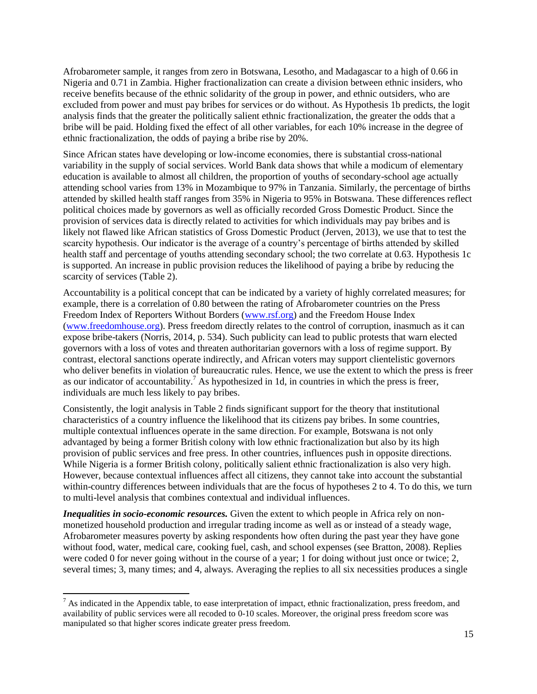Afrobarometer sample, it ranges from zero in Botswana, Lesotho, and Madagascar to a high of 0.66 in Nigeria and 0.71 in Zambia. Higher fractionalization can create a division between ethnic insiders, who receive benefits because of the ethnic solidarity of the group in power, and ethnic outsiders, who are excluded from power and must pay bribes for services or do without. As Hypothesis 1b predicts, the logit analysis finds that the greater the politically salient ethnic fractionalization, the greater the odds that a bribe will be paid. Holding fixed the effect of all other variables, for each 10% increase in the degree of ethnic fractionalization, the odds of paying a bribe rise by 20%.

Since African states have developing or low-income economies, there is substantial cross-national variability in the supply of social services. World Bank data shows that while a modicum of elementary education is available to almost all children, the proportion of youths of secondary-school age actually attending school varies from 13% in Mozambique to 97% in Tanzania. Similarly, the percentage of births attended by skilled health staff ranges from 35% in Nigeria to 95% in Botswana. These differences reflect political choices made by governors as well as officially recorded Gross Domestic Product. Since the provision of services data is directly related to activities for which individuals may pay bribes and is likely not flawed like African statistics of Gross Domestic Product (Jerven, 2013), we use that to test the scarcity hypothesis. Our indicator is the average of a country"s percentage of births attended by skilled health staff and percentage of youths attending secondary school; the two correlate at 0.63. Hypothesis 1c is supported. An increase in public provision reduces the likelihood of paying a bribe by reducing the scarcity of services (Table 2).

Accountability is a political concept that can be indicated by a variety of highly correlated measures; for example, there is a correlation of 0.80 between the rating of Afrobarometer countries on the Press Freedom Index of Reporters Without Borders (www.rsf.org) and the Freedom House Index (www.freedomhouse.org). Press freedom directly relates to the control of corruption, inasmuch as it can expose bribe-takers (Norris, 2014, p. 534). Such publicity can lead to public protests that warn elected governors with a loss of votes and threaten authoritarian governors with a loss of regime support. By contrast, electoral sanctions operate indirectly, and African voters may support clientelistic governors who deliver benefits in violation of bureaucratic rules. Hence, we use the extent to which the press is freer as our indicator of accountability.<sup>7</sup> As hypothesized in 1d, in countries in which the press is freer, individuals are much less likely to pay bribes.

Consistently, the logit analysis in Table 2 finds significant support for the theory that institutional characteristics of a country influence the likelihood that its citizens pay bribes. In some countries, multiple contextual influences operate in the same direction. For example, Botswana is not only advantaged by being a former British colony with low ethnic fractionalization but also by its high provision of public services and free press. In other countries, influences push in opposite directions. While Nigeria is a former British colony, politically salient ethnic fractionalization is also very high. However, because contextual influences affect all citizens, they cannot take into account the substantial within-country differences between individuals that are the focus of hypotheses 2 to 4. To do this, we turn to multi-level analysis that combines contextual and individual influences.

*Inequalities in socio-economic resources.* Given the extent to which people in Africa rely on nonmonetized household production and irregular trading income as well as or instead of a steady wage, Afrobarometer measures poverty by asking respondents how often during the past year they have gone without food, water, medical care, cooking fuel, cash, and school expenses (see Bratton, 2008). Replies were coded 0 for never going without in the course of a year; 1 for doing without just once or twice; 2, several times; 3, many times; and 4, always. Averaging the replies to all six necessities produces a single

 $\overline{a}$ 

 $<sup>7</sup>$  As indicated in the Appendix table, to ease interpretation of impact, ethnic fractionalization, press freedom, and</sup> availability of public services were all recoded to 0-10 scales. Moreover, the original press freedom score was manipulated so that higher scores indicate greater press freedom.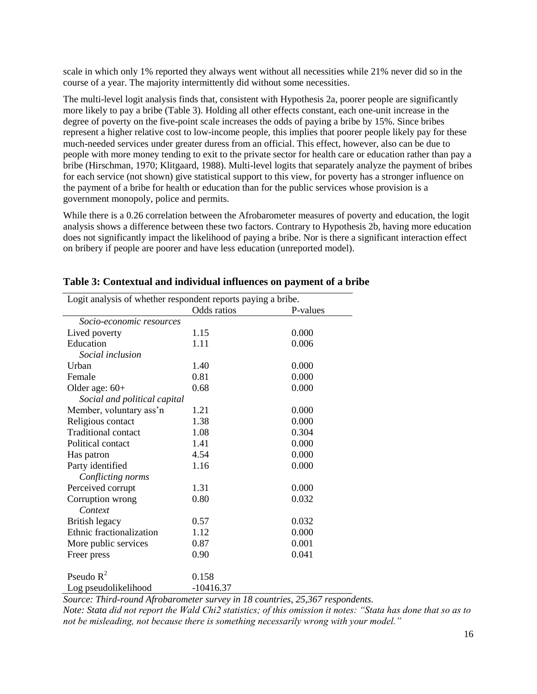scale in which only 1% reported they always went without all necessities while 21% never did so in the course of a year. The majority intermittently did without some necessities.

The multi-level logit analysis finds that, consistent with Hypothesis 2a, poorer people are significantly more likely to pay a bribe (Table 3). Holding all other effects constant, each one-unit increase in the degree of poverty on the five-point scale increases the odds of paying a bribe by 15%. Since bribes represent a higher relative cost to low-income people, this implies that poorer people likely pay for these much-needed services under greater duress from an official. This effect, however, also can be due to people with more money tending to exit to the private sector for health care or education rather than pay a bribe (Hirschman, 1970; Klitgaard, 1988). Multi-level logits that separately analyze the payment of bribes for each service (not shown) give statistical support to this view, for poverty has a stronger influence on the payment of a bribe for health or education than for the public services whose provision is a government monopoly, police and permits.

While there is a 0.26 correlation between the Afrobarometer measures of poverty and education, the logit analysis shows a difference between these two factors. Contrary to Hypothesis 2b, having more education does not significantly impact the likelihood of paying a bribe. Nor is there a significant interaction effect on bribery if people are poorer and have less education (unreported model).

| Logit analysis of whether respondent reports paying a bribe. |             |          |  |  |
|--------------------------------------------------------------|-------------|----------|--|--|
|                                                              | Odds ratios | P-values |  |  |
| Socio-economic resources                                     |             |          |  |  |
| Lived poverty                                                | 1.15        | 0.000    |  |  |
| Education                                                    | 1.11        | 0.006    |  |  |
| <i>Social inclusion</i>                                      |             |          |  |  |
| Urban                                                        | 1.40        | 0.000    |  |  |
| Female                                                       | 0.81        | 0.000    |  |  |
| Older age: $60+$                                             | 0.68        | 0.000    |  |  |
| Social and political capital                                 |             |          |  |  |
| Member, voluntary ass'n                                      | 1.21        | 0.000    |  |  |
| Religious contact                                            | 1.38        | 0.000    |  |  |
| <b>Traditional contact</b>                                   | 1.08        | 0.304    |  |  |
| Political contact                                            | 1.41        | 0.000    |  |  |
| Has patron                                                   | 4.54        | 0.000    |  |  |
| Party identified                                             | 1.16        | 0.000    |  |  |
| Conflicting norms                                            |             |          |  |  |
| Perceived corrupt                                            | 1.31        | 0.000    |  |  |
| Corruption wrong                                             | 0.80        | 0.032    |  |  |
| Context                                                      |             |          |  |  |
| British legacy                                               | 0.57        | 0.032    |  |  |
| Ethnic fractionalization                                     | 1.12        | 0.000    |  |  |
| More public services                                         | 0.87        | 0.001    |  |  |
| Freer press                                                  | 0.90        | 0.041    |  |  |
|                                                              |             |          |  |  |
| Pseudo $R^2$                                                 | 0.158       |          |  |  |
| Log pseudolikelihood                                         | $-10416.37$ |          |  |  |

## **Table 3: Contextual and individual influences on payment of a bribe**

*Source: Third-round Afrobarometer survey in 18 countries, 25,367 respondents.*

*Note: Stata did not report the Wald Chi2 statistics; of this omission it notes: "Stata has done that so as to not be misleading, not because there is something necessarily wrong with your model."*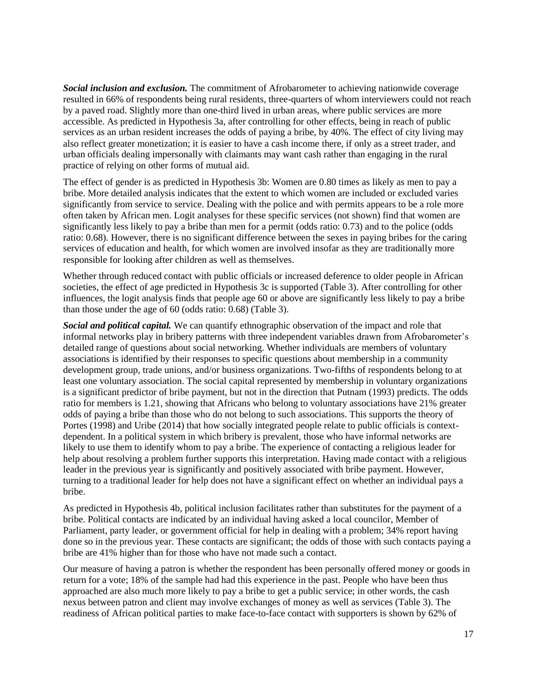*Social inclusion and exclusion.* The commitment of Afrobarometer to achieving nationwide coverage resulted in 66% of respondents being rural residents, three-quarters of whom interviewers could not reach by a paved road. Slightly more than one-third lived in urban areas, where public services are more accessible. As predicted in Hypothesis 3a, after controlling for other effects, being in reach of public services as an urban resident increases the odds of paying a bribe, by 40%. The effect of city living may also reflect greater monetization; it is easier to have a cash income there, if only as a street trader, and urban officials dealing impersonally with claimants may want cash rather than engaging in the rural practice of relying on other forms of mutual aid.

The effect of gender is as predicted in Hypothesis 3b: Women are 0.80 times as likely as men to pay a bribe. More detailed analysis indicates that the extent to which women are included or excluded varies significantly from service to service. Dealing with the police and with permits appears to be a role more often taken by African men. Logit analyses for these specific services (not shown) find that women are significantly less likely to pay a bribe than men for a permit (odds ratio: 0.73) and to the police (odds ratio: 0.68). However, there is no significant difference between the sexes in paying bribes for the caring services of education and health, for which women are involved insofar as they are traditionally more responsible for looking after children as well as themselves.

Whether through reduced contact with public officials or increased deference to older people in African societies, the effect of age predicted in Hypothesis 3c is supported (Table 3). After controlling for other influences, the logit analysis finds that people age 60 or above are significantly less likely to pay a bribe than those under the age of 60 (odds ratio:  $0.68$ ) (Table 3).

*Social and political capital.* We can quantify ethnographic observation of the impact and role that informal networks play in bribery patterns with three independent variables drawn from Afrobarometer's detailed range of questions about social networking. Whether individuals are members of voluntary associations is identified by their responses to specific questions about membership in a community development group, trade unions, and/or business organizations. Two-fifths of respondents belong to at least one voluntary association. The social capital represented by membership in voluntary organizations is a significant predictor of bribe payment, but not in the direction that Putnam (1993) predicts. The odds ratio for members is 1.21, showing that Africans who belong to voluntary associations have 21% greater odds of paying a bribe than those who do not belong to such associations. This supports the theory of Portes (1998) and Uribe (2014) that how socially integrated people relate to public officials is contextdependent. In a political system in which bribery is prevalent, those who have informal networks are likely to use them to identify whom to pay a bribe. The experience of contacting a religious leader for help about resolving a problem further supports this interpretation. Having made contact with a religious leader in the previous year is significantly and positively associated with bribe payment. However, turning to a traditional leader for help does not have a significant effect on whether an individual pays a bribe.

As predicted in Hypothesis 4b, political inclusion facilitates rather than substitutes for the payment of a bribe. Political contacts are indicated by an individual having asked a local councilor, Member of Parliament, party leader, or government official for help in dealing with a problem; 34% report having done so in the previous year. These contacts are significant; the odds of those with such contacts paying a bribe are 41% higher than for those who have not made such a contact.

Our measure of having a patron is whether the respondent has been personally offered money or goods in return for a vote; 18% of the sample had had this experience in the past. People who have been thus approached are also much more likely to pay a bribe to get a public service; in other words, the cash nexus between patron and client may involve exchanges of money as well as services (Table 3). The readiness of African political parties to make face-to-face contact with supporters is shown by 62% of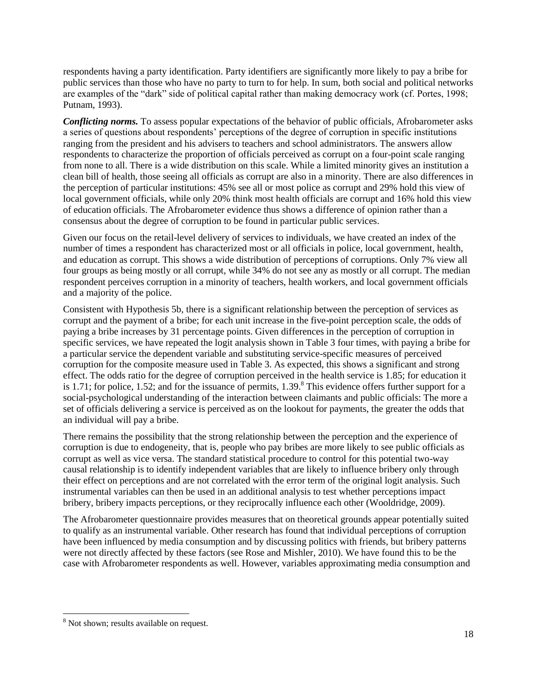respondents having a party identification. Party identifiers are significantly more likely to pay a bribe for public services than those who have no party to turn to for help. In sum, both social and political networks are examples of the "dark" side of political capital rather than making democracy work (cf. Portes, 1998; Putnam, 1993).

*Conflicting norms.* To assess popular expectations of the behavior of public officials, Afrobarometer asks a series of questions about respondents" perceptions of the degree of corruption in specific institutions ranging from the president and his advisers to teachers and school administrators. The answers allow respondents to characterize the proportion of officials perceived as corrupt on a four-point scale ranging from none to all. There is a wide distribution on this scale. While a limited minority gives an institution a clean bill of health, those seeing all officials as corrupt are also in a minority. There are also differences in the perception of particular institutions: 45% see all or most police as corrupt and 29% hold this view of local government officials, while only 20% think most health officials are corrupt and 16% hold this view of education officials. The Afrobarometer evidence thus shows a difference of opinion rather than a consensus about the degree of corruption to be found in particular public services.

Given our focus on the retail-level delivery of services to individuals, we have created an index of the number of times a respondent has characterized most or all officials in police, local government, health, and education as corrupt. This shows a wide distribution of perceptions of corruptions. Only 7% view all four groups as being mostly or all corrupt, while 34% do not see any as mostly or all corrupt. The median respondent perceives corruption in a minority of teachers, health workers, and local government officials and a majority of the police.

Consistent with Hypothesis 5b, there is a significant relationship between the perception of services as corrupt and the payment of a bribe; for each unit increase in the five-point perception scale, the odds of paying a bribe increases by 31 percentage points. Given differences in the perception of corruption in specific services, we have repeated the logit analysis shown in Table 3 four times, with paying a bribe for a particular service the dependent variable and substituting service-specific measures of perceived corruption for the composite measure used in Table 3. As expected, this shows a significant and strong effect. The odds ratio for the degree of corruption perceived in the health service is 1.85; for education it is 1.71; for police, 1.52; and for the issuance of permits,  $1.39<sup>8</sup>$  This evidence offers further support for a social-psychological understanding of the interaction between claimants and public officials: The more a set of officials delivering a service is perceived as on the lookout for payments, the greater the odds that an individual will pay a bribe.

There remains the possibility that the strong relationship between the perception and the experience of corruption is due to endogeneity, that is, people who pay bribes are more likely to see public officials as corrupt as well as vice versa. The standard statistical procedure to control for this potential two-way causal relationship is to identify independent variables that are likely to influence bribery only through their effect on perceptions and are not correlated with the error term of the original logit analysis. Such instrumental variables can then be used in an additional analysis to test whether perceptions impact bribery, bribery impacts perceptions, or they reciprocally influence each other (Wooldridge, 2009).

The Afrobarometer questionnaire provides measures that on theoretical grounds appear potentially suited to qualify as an instrumental variable. Other research has found that individual perceptions of corruption have been influenced by media consumption and by discussing politics with friends, but bribery patterns were not directly affected by these factors (see Rose and Mishler, 2010). We have found this to be the case with Afrobarometer respondents as well. However, variables approximating media consumption and

 $\overline{\phantom{a}}$ 

<sup>&</sup>lt;sup>8</sup> Not shown; results available on request.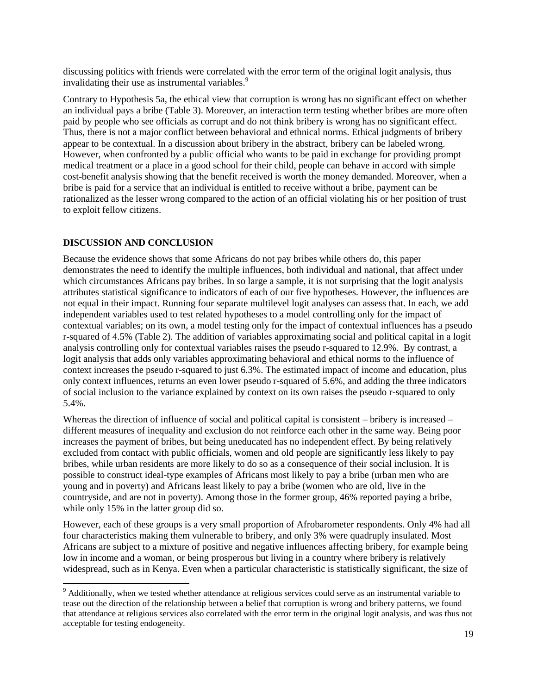discussing politics with friends were correlated with the error term of the original logit analysis, thus invalidating their use as instrumental variables.<sup>9</sup>

Contrary to Hypothesis 5a, the ethical view that corruption is wrong has no significant effect on whether an individual pays a bribe (Table 3). Moreover, an interaction term testing whether bribes are more often paid by people who see officials as corrupt and do not think bribery is wrong has no significant effect. Thus, there is not a major conflict between behavioral and ethnical norms. Ethical judgments of bribery appear to be contextual. In a discussion about bribery in the abstract, bribery can be labeled wrong. However, when confronted by a public official who wants to be paid in exchange for providing prompt medical treatment or a place in a good school for their child, people can behave in accord with simple cost-benefit analysis showing that the benefit received is worth the money demanded. Moreover, when a bribe is paid for a service that an individual is entitled to receive without a bribe, payment can be rationalized as the lesser wrong compared to the action of an official violating his or her position of trust to exploit fellow citizens.

#### **DISCUSSION AND CONCLUSION**

l

Because the evidence shows that some Africans do not pay bribes while others do, this paper demonstrates the need to identify the multiple influences, both individual and national, that affect under which circumstances Africans pay bribes. In so large a sample, it is not surprising that the logit analysis attributes statistical significance to indicators of each of our five hypotheses. However, the influences are not equal in their impact. Running four separate multilevel logit analyses can assess that. In each, we add independent variables used to test related hypotheses to a model controlling only for the impact of contextual variables; on its own, a model testing only for the impact of contextual influences has a pseudo r-squared of 4.5% (Table 2). The addition of variables approximating social and political capital in a logit analysis controlling only for contextual variables raises the pseudo r-squared to 12.9%. By contrast, a logit analysis that adds only variables approximating behavioral and ethical norms to the influence of context increases the pseudo r-squared to just 6.3%. The estimated impact of income and education, plus only context influences, returns an even lower pseudo r-squared of 5.6%, and adding the three indicators of social inclusion to the variance explained by context on its own raises the pseudo r-squared to only 5.4%.

Whereas the direction of influence of social and political capital is consistent – bribery is increased – different measures of inequality and exclusion do not reinforce each other in the same way. Being poor increases the payment of bribes, but being uneducated has no independent effect. By being relatively excluded from contact with public officials, women and old people are significantly less likely to pay bribes, while urban residents are more likely to do so as a consequence of their social inclusion. It is possible to construct ideal-type examples of Africans most likely to pay a bribe (urban men who are young and in poverty) and Africans least likely to pay a bribe (women who are old, live in the countryside, and are not in poverty). Among those in the former group, 46% reported paying a bribe, while only 15% in the latter group did so.

However, each of these groups is a very small proportion of Afrobarometer respondents. Only 4% had all four characteristics making them vulnerable to bribery, and only 3% were quadruply insulated. Most Africans are subject to a mixture of positive and negative influences affecting bribery, for example being low in income and a woman, or being prosperous but living in a country where bribery is relatively widespread, such as in Kenya. Even when a particular characteristic is statistically significant, the size of

<sup>&</sup>lt;sup>9</sup> Additionally, when we tested whether attendance at religious services could serve as an instrumental variable to tease out the direction of the relationship between a belief that corruption is wrong and bribery patterns, we found that attendance at religious services also correlated with the error term in the original logit analysis, and was thus not acceptable for testing endogeneity.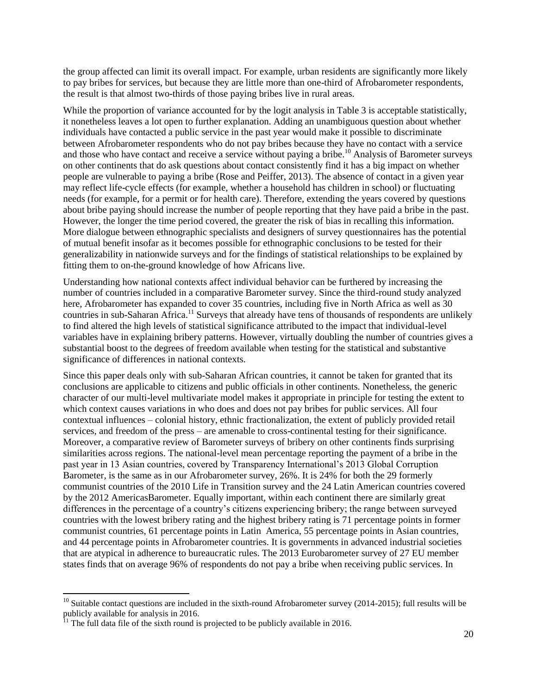the group affected can limit its overall impact. For example, urban residents are significantly more likely to pay bribes for services, but because they are little more than one-third of Afrobarometer respondents, the result is that almost two-thirds of those paying bribes live in rural areas.

While the proportion of variance accounted for by the logit analysis in Table 3 is acceptable statistically, it nonetheless leaves a lot open to further explanation. Adding an unambiguous question about whether individuals have contacted a public service in the past year would make it possible to discriminate between Afrobarometer respondents who do not pay bribes because they have no contact with a service and those who have contact and receive a service without paying a bribe.<sup>10</sup> Analysis of Barometer surveys on other continents that do ask questions about contact consistently find it has a big impact on whether people are vulnerable to paying a bribe (Rose and Peiffer, 2013). The absence of contact in a given year may reflect life-cycle effects (for example, whether a household has children in school) or fluctuating needs (for example, for a permit or for health care). Therefore, extending the years covered by questions about bribe paying should increase the number of people reporting that they have paid a bribe in the past. However, the longer the time period covered, the greater the risk of bias in recalling this information. More dialogue between ethnographic specialists and designers of survey questionnaires has the potential of mutual benefit insofar as it becomes possible for ethnographic conclusions to be tested for their generalizability in nationwide surveys and for the findings of statistical relationships to be explained by fitting them to on-the-ground knowledge of how Africans live.

Understanding how national contexts affect individual behavior can be furthered by increasing the number of countries included in a comparative Barometer survey. Since the third-round study analyzed here, Afrobarometer has expanded to cover 35 countries, including five in North Africa as well as 30 countries in sub-Saharan Africa.<sup>11</sup> Surveys that already have tens of thousands of respondents are unlikely to find altered the high levels of statistical significance attributed to the impact that individual-level variables have in explaining bribery patterns. However, virtually doubling the number of countries gives a substantial boost to the degrees of freedom available when testing for the statistical and substantive significance of differences in national contexts.

Since this paper deals only with sub-Saharan African countries, it cannot be taken for granted that its conclusions are applicable to citizens and public officials in other continents. Nonetheless, the generic character of our multi-level multivariate model makes it appropriate in principle for testing the extent to which context causes variations in who does and does not pay bribes for public services. All four contextual influences – colonial history, ethnic fractionalization, the extent of publicly provided retail services, and freedom of the press – are amenable to cross-continental testing for their significance. Moreover, a comparative review of Barometer surveys of bribery on other continents finds surprising similarities across regions. The national-level mean percentage reporting the payment of a bribe in the past year in 13 Asian countries, covered by Transparency International"s 2013 Global Corruption Barometer, is the same as in our Afrobarometer survey, 26%. It is 24% for both the 29 formerly communist countries of the 2010 Life in Transition survey and the 24 Latin American countries covered by the 2012 AmericasBarometer. Equally important, within each continent there are similarly great differences in the percentage of a country"s citizens experiencing bribery; the range between surveyed countries with the lowest bribery rating and the highest bribery rating is 71 percentage points in former communist countries, 61 percentage points in Latin America, 55 percentage points in Asian countries, and 44 percentage points in Afrobarometer countries. It is governments in advanced industrial societies that are atypical in adherence to bureaucratic rules. The 2013 Eurobarometer survey of 27 EU member states finds that on average 96% of respondents do not pay a bribe when receiving public services. In

 $\overline{a}$ 

 $10$  Suitable contact questions are included in the sixth-round Afrobarometer survey (2014-2015); full results will be publicly available for analysis in 2016.

 $11$ <sup>11</sup> The full data file of the sixth round is projected to be publicly available in 2016.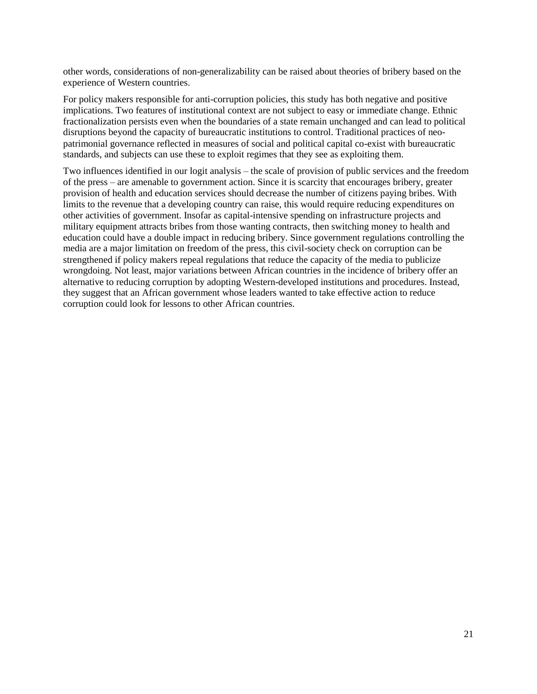other words, considerations of non-generalizability can be raised about theories of bribery based on the experience of Western countries.

For policy makers responsible for anti-corruption policies, this study has both negative and positive implications. Two features of institutional context are not subject to easy or immediate change. Ethnic fractionalization persists even when the boundaries of a state remain unchanged and can lead to political disruptions beyond the capacity of bureaucratic institutions to control. Traditional practices of neopatrimonial governance reflected in measures of social and political capital co-exist with bureaucratic standards, and subjects can use these to exploit regimes that they see as exploiting them.

Two influences identified in our logit analysis – the scale of provision of public services and the freedom of the press – are amenable to government action. Since it is scarcity that encourages bribery, greater provision of health and education services should decrease the number of citizens paying bribes. With limits to the revenue that a developing country can raise, this would require reducing expenditures on other activities of government. Insofar as capital-intensive spending on infrastructure projects and military equipment attracts bribes from those wanting contracts, then switching money to health and education could have a double impact in reducing bribery. Since government regulations controlling the media are a major limitation on freedom of the press, this civil-society check on corruption can be strengthened if policy makers repeal regulations that reduce the capacity of the media to publicize wrongdoing. Not least, major variations between African countries in the incidence of bribery offer an alternative to reducing corruption by adopting Western-developed institutions and procedures. Instead, they suggest that an African government whose leaders wanted to take effective action to reduce corruption could look for lessons to other African countries.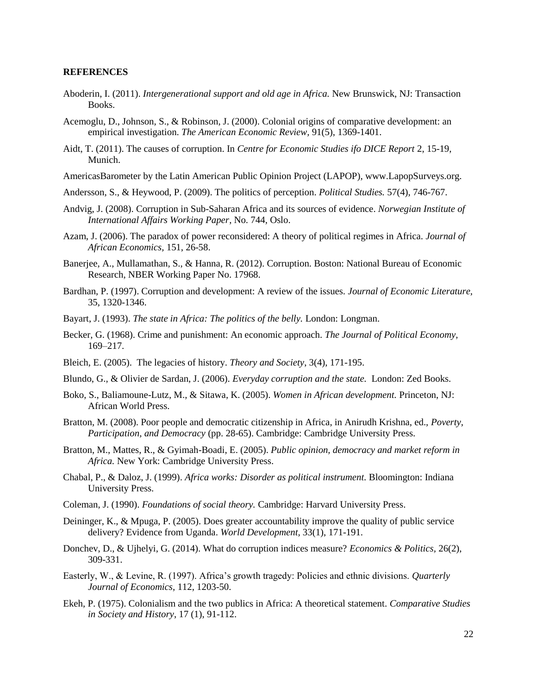#### **REFERENCES**

- Aboderin, I. (2011). *Intergenerational support and old age in Africa*. New Brunswick, NJ: Transaction Books.
- Acemoglu, D., Johnson, S., & Robinson, J. (2000). Colonial origins of comparative development: an empirical investigation. *The American Economic Review,* 91(5), 1369-1401.
- Aidt, T. (2011). The causes of corruption. In *Centre for Economic Studies ifo DICE Report* 2, 15-19, Munich.
- AmericasBarometer by the Latin American Public Opinion Project (LAPOP), www.LapopSurveys.org.
- Andersson, S., & Heywood, P. (2009). The politics of perception. *Political Studies.* 57(4), 746-767.
- Andvig, J. (2008). Corruption in Sub-Saharan Africa and its sources of evidence. *Norwegian Institute of International Affairs Working Paper*, No. 744, Oslo.
- Azam, J. (2006). The paradox of power reconsidered: A theory of political regimes in Africa. *Journal of African Economics,* 151, 26-58.
- Banerjee, A., Mullamathan, S., & Hanna, R. (2012). Corruption. Boston: National Bureau of Economic Research, NBER Working Paper No. 17968.
- Bardhan, P. (1997). Corruption and development: A review of the issues. *Journal of Economic Literature,*  35, 1320-1346.
- Bayart, J. (1993). *The state in Africa: The politics of the belly.* London: Longman.
- Becker, G. (1968). Crime and punishment: An economic approach. *The Journal of Political Economy,* 169–217.
- Bleich, E. (2005). The legacies of history. *Theory and Society*, 3(4), 171-195.
- Blundo, G., & Olivier de Sardan, J. (2006). *Everyday corruption and the state.* London: Zed Books.
- Boko, S., Baliamoune-Lutz, M., & Sitawa, K. (2005). *Women in African development.* Princeton, NJ: African World Press.
- Bratton, M. (2008). Poor people and democratic citizenship in Africa, in Anirudh Krishna, ed., *Poverty, Participation, and Democracy* (pp. 28-65). Cambridge: Cambridge University Press.
- Bratton, M., Mattes, R., & Gyimah-Boadi, E. (2005). *Public opinion, democracy and market reform in Africa.* New York: Cambridge University Press.
- Chabal, P., & Daloz, J. (1999). *Africa works: Disorder as political instrument.* Bloomington: Indiana University Press.
- Coleman, J. (1990). *Foundations of social theory.* Cambridge: Harvard University Press.
- Deininger, K., & Mpuga, P. (2005). Does greater accountability improve the quality of public service delivery? Evidence from Uganda. *World Development,* 33(1), 171-191.
- Donchev, D., & Ujhelyi, G. (2014). What do corruption indices measure? *Economics & Politics,* 26(2), 309-331.
- Easterly, W., & Levine, R. (1997). Africa"s growth tragedy: Policies and ethnic divisions. *Quarterly Journal of Economics*, 112, 1203-50.
- Ekeh, P. (1975). Colonialism and the two publics in Africa: A theoretical statement. *Comparative Studies in Society and History*, 17 (1), 91-112.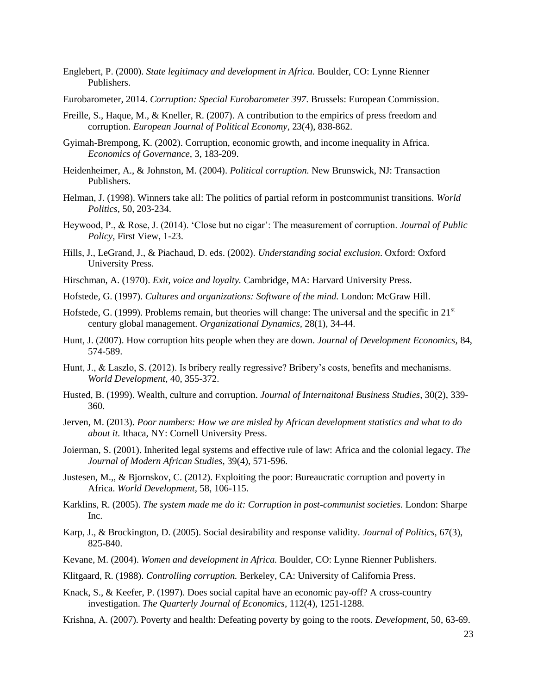- Englebert, P. (2000). *State legitimacy and development in Africa.* Boulder, CO: Lynne Rienner Publishers.
- Eurobarometer, 2014. *Corruption: Special Eurobarometer 397*. Brussels: European Commission.
- Freille, S., Haque, M., & Kneller, R. (2007). A contribution to the empirics of press freedom and corruption. *European Journal of Political Economy*, 23(4), 838-862.
- Gyimah-Brempong, K. (2002). Corruption, economic growth, and income inequality in Africa. *Economics of Governance,* 3, 183-209.
- Heidenheimer, A., & Johnston, M. (2004). *Political corruption.* New Brunswick, NJ: Transaction Publishers.
- Helman, J. (1998). Winners take all: The politics of partial reform in postcommunist transitions. *World Politics,* 50, 203-234.
- Heywood, P., & Rose, J. (2014). "Close but no cigar": The measurement of corruption. *Journal of Public Policy,* First View, 1-23.
- Hills, J., LeGrand, J., & Piachaud, D. eds. (2002). *Understanding social exclusion*. Oxford: Oxford University Press.
- Hirschman, A. (1970). *Exit, voice and loyalty.* Cambridge, MA: Harvard University Press.
- Hofstede, G. (1997). *Cultures and organizations: Software of the mind.* London: McGraw Hill.
- Hofstede, G. (1999). Problems remain, but theories will change: The universal and the specific in 21<sup>st</sup> century global management. *Organizational Dynamics,* 28(1), 34-44.
- Hunt, J. (2007). How corruption hits people when they are down. *Journal of Development Economics,* 84, 574-589.
- Hunt, J., & Laszlo, S. (2012). Is bribery really regressive? Bribery"s costs, benefits and mechanisms. *World Development,* 40, 355-372.
- Husted, B. (1999). Wealth, culture and corruption. *Journal of Internaitonal Business Studies,* 30(2), 339- 360.
- Jerven, M. (2013). *Poor numbers: How we are misled by African development statistics and what to do about it.* Ithaca, NY: Cornell University Press.
- Joierman, S. (2001). Inherited legal systems and effective rule of law: Africa and the colonial legacy. *The Journal of Modern African Studies,* 39(4), 571-596.
- Justesen, M.,, & Bjornskov, C. (2012). Exploiting the poor: Bureaucratic corruption and poverty in Africa. *World Development,* 58, 106-115.
- Karklins, R. (2005). *The system made me do it: Corruption in post-communist societies.* London: Sharpe Inc.
- Karp, J., & Brockington, D. (2005). Social desirability and response validity. *Journal of Politics,* 67(3), 825-840.
- Kevane, M. (2004). *Women and development in Africa.* Boulder, CO: Lynne Rienner Publishers.
- Klitgaard, R. (1988). *Controlling corruption.* Berkeley, CA: University of California Press.
- Knack, S., & Keefer, P. (1997). Does social capital have an economic pay-off? A cross-country investigation. *The Quarterly Journal of Economics,* 112(4), 1251-1288.
- Krishna, A. (2007). Poverty and health: Defeating poverty by going to the roots. *Development,* 50, 63-69.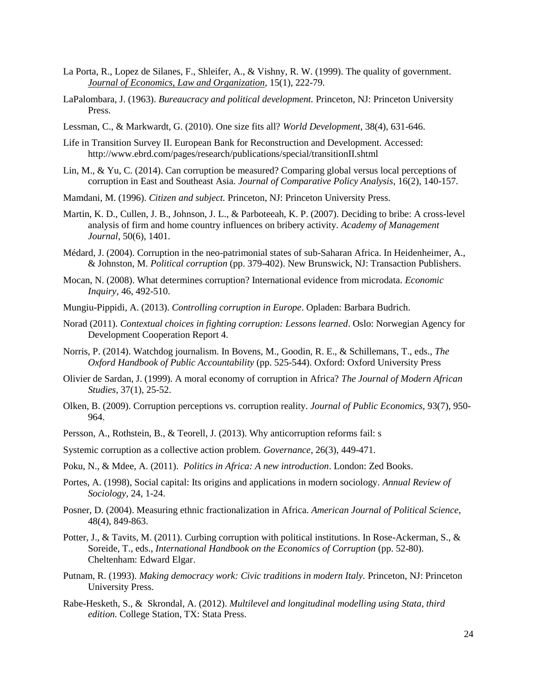- La Porta, R., Lopez de Silanes, F., Shleifer, A., & Vishny, R. W. (1999). The quality of government. *Journal of Economics, Law and Organization,* 15(1), 222-79.
- LaPalombara, J. (1963). *Bureaucracy and political development.* Princeton, NJ: Princeton University Press.
- Lessman, C., & Markwardt, G. (2010). One size fits all? *World Development*, 38(4), 631-646.
- Life in Transition Survey II. European Bank for Reconstruction and Development. Accessed: http://www.ebrd.com/pages/research/publications/special/transitionII.shtml
- Lin, M., & Yu, C. (2014). Can corruption be measured? Comparing global versus local perceptions of corruption in East and Southeast Asia. *Journal of Comparative Policy Analysis,* 16(2), 140-157.
- Mamdani, M. (1996). *Citizen and subject.* Princeton, NJ: Princeton University Press.
- Martin, K. D., Cullen, J. B., Johnson, J. L., & Parboteeah, K. P. (2007). Deciding to bribe: A cross-level analysis of firm and home country influences on bribery activity. *Academy of Management Journal*, 50(6), 1401.
- Médard, J. (2004). Corruption in the neo-patrimonial states of sub-Saharan Africa. In Heidenheimer, A., & Johnston, M. *Political corruption* (pp. 379-402). New Brunswick, NJ: Transaction Publishers.
- Mocan, N. (2008). What determines corruption? International evidence from microdata. *Economic Inquiry,* 46, 492-510.
- Mungiu-Pippidi, A. (2013). *Controlling corruption in Europe*. Opladen: Barbara Budrich.
- Norad (2011). *Contextual choices in fighting corruption: Lessons learned*. Oslo: Norwegian Agency for Development Cooperation Report 4.
- Norris, P. (2014). Watchdog journalism. In Bovens, M., Goodin, R. E., & Schillemans, T., eds., *The Oxford Handbook of Public Accountability* (pp. 525-544). Oxford: Oxford University Press
- Olivier de Sardan, J. (1999). A moral economy of corruption in Africa? *The Journal of Modern African Studies,* 37(1), 25-52.
- Olken, B. (2009). Corruption perceptions vs. corruption reality. *Journal of Public Economics,* 93(7), 950- 964.
- Persson, A., Rothstein, B., & Teorell, J. (2013). Why anticorruption reforms fail: s
- Systemic corruption as a collective action problem. *Governance*, 26(3), 449-471.
- Poku, N., & Mdee, A. (2011). *Politics in Africa: A new introduction*. London: Zed Books.
- Portes, A. (1998), Social capital: Its origins and applications in modern sociology. *Annual Review of Sociology,* 24, 1-24.
- Posner, D. (2004). Measuring ethnic fractionalization in Africa. *American Journal of Political Science,*  48(4), 849-863.
- Potter, J., & Tavits, M. (2011). Curbing corruption with political institutions. In Rose-Ackerman, S., & Soreide, T., eds., *International Handbook on the Economics of Corruption* (pp. 52-80). Cheltenham: Edward Elgar.
- Putnam, R. (1993). *Making democracy work: Civic traditions in modern Italy.* Princeton, NJ: Princeton University Press.
- Rabe-Hesketh, S., & Skrondal, A. (2012). *Multilevel and longitudinal modelling using Stata, third edition.* College Station, TX: Stata Press.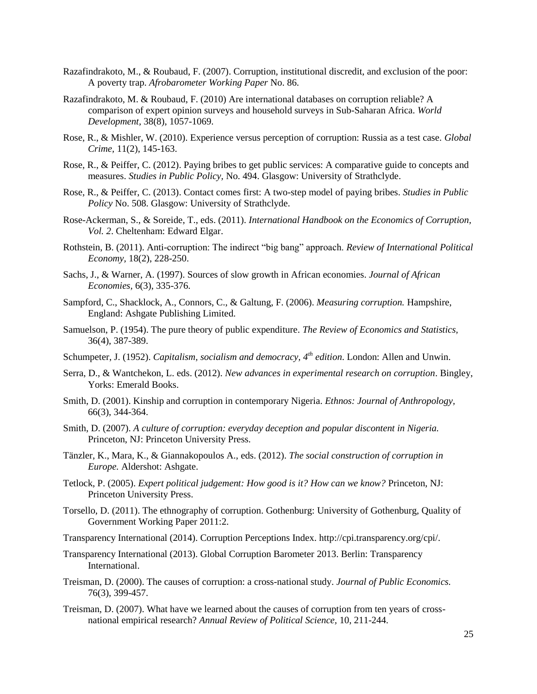- Razafindrakoto, M., & Roubaud, F. (2007). Corruption, institutional discredit, and exclusion of the poor: A poverty trap. *Afrobarometer Working Paper* No. 86.
- Razafindrakoto, M. & Roubaud, F. (2010) Are international databases on corruption reliable? A comparison of expert opinion surveys and household surveys in Sub-Saharan Africa. *World Development,* 38(8), 1057-1069.
- Rose, R., & Mishler, W. (2010). Experience versus perception of corruption: Russia as a test case. *Global Crime,* 11(2), 145-163.
- Rose, R., & Peiffer, C. (2012). Paying bribes to get public services: A comparative guide to concepts and measures. *Studies in Public Policy,* No. 494. Glasgow: University of Strathclyde.
- Rose, R., & Peiffer, C. (2013). Contact comes first: A two-step model of paying bribes. *Studies in Public Policy* No. 508. Glasgow: University of Strathclyde.
- Rose-Ackerman, S., & Soreide, T., eds. (2011). *International Handbook on the Economics of Corruption, Vol. 2*. Cheltenham: Edward Elgar.
- Rothstein, B. (2011). Anti-corruption: The indirect "big bang" approach. *Review of International Political Economy,* 18(2), 228-250.
- Sachs, J., & Warner, A. (1997). Sources of slow growth in African economies. *Journal of African Economies,* 6(3), 335-376.
- Sampford, C., Shacklock, A., Connors, C., & Galtung, F. (2006). *Measuring corruption.* Hampshire, England: Ashgate Publishing Limited.
- Samuelson, P. (1954). The pure theory of public expenditure. *The Review of Economics and Statistics,*  36(4), 387-389.
- Schumpeter, J. (1952). *Capitalism, socialism and democracy, 4th edition*. London: Allen and Unwin.
- Serra, D., & Wantchekon, L. eds. (2012). *New advances in experimental research on corruption*. Bingley, Yorks: Emerald Books.
- Smith, D. (2001). Kinship and corruption in contemporary Nigeria. *Ethnos: Journal of Anthropology,*  66(3), 344-364.
- Smith, D. (2007). *A culture of corruption: everyday deception and popular discontent in Nigeria.*  Princeton, NJ: Princeton University Press.
- Tänzler, K., Mara, K., & Giannakopoulos A., eds. (2012). *The social construction of corruption in Europe.* Aldershot: Ashgate.
- Tetlock, P. (2005). *Expert political judgement: How good is it? How can we know?* Princeton, NJ: Princeton University Press.
- Torsello, D. (2011). The ethnography of corruption. Gothenburg: University of Gothenburg, Quality of Government Working Paper 2011:2.
- Transparency International (2014). Corruption Perceptions Index. http://cpi.transparency.org/cpi/.
- Transparency International (2013). Global Corruption Barometer 2013. Berlin: Transparency International.
- Treisman, D. (2000). The causes of corruption: a cross-national study. *Journal of Public Economics.*  76(3), 399-457.
- Treisman, D. (2007). What have we learned about the causes of corruption from ten years of crossnational empirical research? *Annual Review of Political Science,* 10, 211-244.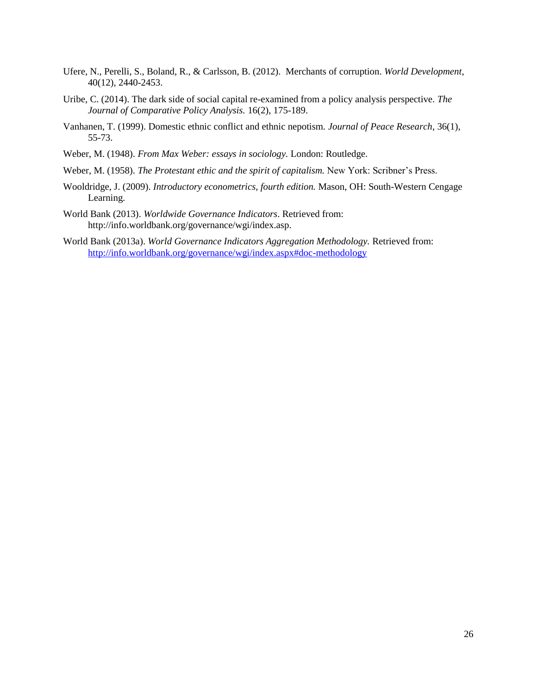- Ufere, N., Perelli, S., Boland, R., & Carlsson, B. (2012). Merchants of corruption. *World Development*, 40(12), 2440-2453.
- Uribe, C. (2014). The dark side of social capital re-examined from a policy analysis perspective. *The Journal of Comparative Policy Analysis.* 16(2), 175-189.
- Vanhanen, T. (1999). Domestic ethnic conflict and ethnic nepotism. *Journal of Peace Research*, 36(1), 55-73.
- Weber, M. (1948). *From Max Weber: essays in sociology.* London: Routledge.
- Weber, M. (1958). *The Protestant ethic and the spirit of capitalism*. New York: Scribner's Press.
- Wooldridge, J. (2009). *Introductory econometrics, fourth edition.* Mason, OH: South-Western Cengage Learning.
- World Bank (2013). *Worldwide Governance Indicators*. Retrieved from: http://info.worldbank.org/governance/wgi/index.asp.
- World Bank (2013a). *World Governance Indicators Aggregation Methodology.* Retrieved from: <http://info.worldbank.org/governance/wgi/index.aspx#doc-methodology>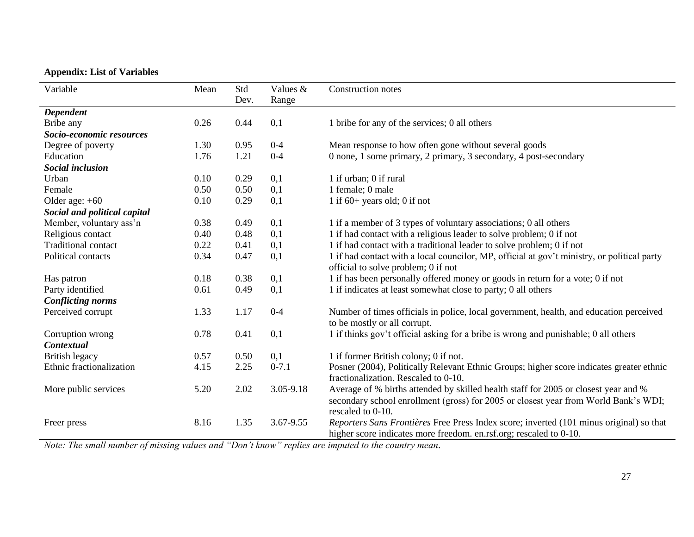# **Appendix: List of Variables**

| Variable                     | Mean | Std  | Values &  | <b>Construction notes</b>                                                                                                                                                                       |
|------------------------------|------|------|-----------|-------------------------------------------------------------------------------------------------------------------------------------------------------------------------------------------------|
|                              |      | Dev. | Range     |                                                                                                                                                                                                 |
| Dependent                    |      |      |           |                                                                                                                                                                                                 |
| Bribe any                    | 0.26 | 0.44 | 0,1       | 1 bribe for any of the services; 0 all others                                                                                                                                                   |
| Socio-economic resources     |      |      |           |                                                                                                                                                                                                 |
| Degree of poverty            | 1.30 | 0.95 | $0 - 4$   | Mean response to how often gone without several goods                                                                                                                                           |
| Education                    | 1.76 | 1.21 | $0 - 4$   | 0 none, 1 some primary, 2 primary, 3 secondary, 4 post-secondary                                                                                                                                |
| <b>Social inclusion</b>      |      |      |           |                                                                                                                                                                                                 |
| Urban                        | 0.10 | 0.29 | 0,1       | 1 if urban; 0 if rural                                                                                                                                                                          |
| Female                       | 0.50 | 0.50 | 0,1       | 1 female; 0 male                                                                                                                                                                                |
| Older age: $+60$             | 0.10 | 0.29 | 0,1       | 1 if $60+$ years old; 0 if not                                                                                                                                                                  |
| Social and political capital |      |      |           |                                                                                                                                                                                                 |
| Member, voluntary ass'n      | 0.38 | 0.49 | 0,1       | 1 if a member of 3 types of voluntary associations; 0 all others                                                                                                                                |
| Religious contact            | 0.40 | 0.48 | 0,1       | 1 if had contact with a religious leader to solve problem; 0 if not                                                                                                                             |
| <b>Traditional contact</b>   | 0.22 | 0.41 | 0,1       | 1 if had contact with a traditional leader to solve problem; 0 if not                                                                                                                           |
| Political contacts           | 0.34 | 0.47 | 0,1       | 1 if had contact with a local councilor, MP, official at gov't ministry, or political party<br>official to solve problem; 0 if not                                                              |
| Has patron                   | 0.18 | 0.38 | 0,1       | 1 if has been personally offered money or goods in return for a vote; 0 if not                                                                                                                  |
| Party identified             | 0.61 | 0.49 | 0,1       | 1 if indicates at least somewhat close to party; 0 all others                                                                                                                                   |
| <b>Conflicting norms</b>     |      |      |           |                                                                                                                                                                                                 |
| Perceived corrupt            | 1.33 | 1.17 | $0 - 4$   | Number of times officials in police, local government, health, and education perceived                                                                                                          |
|                              |      |      |           | to be mostly or all corrupt.                                                                                                                                                                    |
| Corruption wrong             | 0.78 | 0.41 | 0,1       | 1 if thinks gov't official asking for a bribe is wrong and punishable; 0 all others                                                                                                             |
| <b>Contextual</b>            |      |      |           |                                                                                                                                                                                                 |
| British legacy               | 0.57 | 0.50 | 0,1       | 1 if former British colony; 0 if not.                                                                                                                                                           |
| Ethnic fractionalization     | 4.15 | 2.25 | $0 - 7.1$ | Posner (2004), Politically Relevant Ethnic Groups; higher score indicates greater ethnic                                                                                                        |
|                              |      |      |           | fractionalization. Rescaled to 0-10.                                                                                                                                                            |
| More public services         | 5.20 | 2.02 | 3.05-9.18 | Average of % births attended by skilled health staff for 2005 or closest year and %<br>secondary school enrollment (gross) for 2005 or closest year from World Bank's WDI;<br>rescaled to 0-10. |
| Freer press                  | 8.16 | 1.35 | 3.67-9.55 | Reporters Sans Frontières Free Press Index score; inverted (101 minus original) so that<br>higher score indicates more freedom. en.rsf.org; rescaled to 0-10.                                   |

*Note: The small number of missing values and "Don't know" replies are imputed to the country mean.*